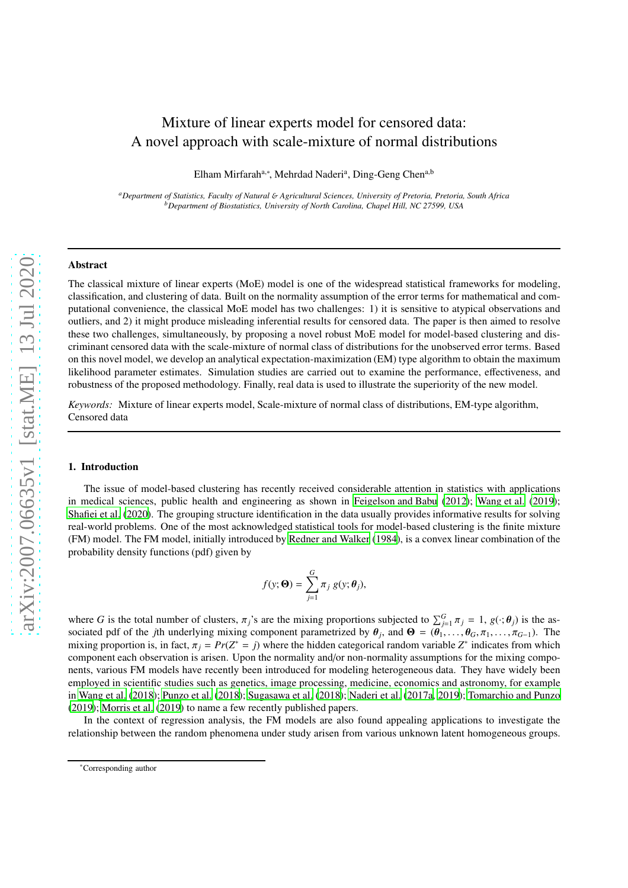# Mixture of linear experts model for censored data: A novel approach with scale-mixture of normal distributions

Elham Mirfarah<sup>a,∗</sup>, Mehrdad Naderi<sup>a</sup>, Ding-Geng Chen<sup>a,b</sup>

*<sup>a</sup>Department of Statistics, Faculty of Natural* & *Agricultural Sciences, University of Pretoria, Pretoria, South Africa <sup>b</sup>Department of Biostatistics, University of North Carolina, Chapel Hill, NC 27599, USA*

#### Abstract

The classical mixture of linear experts (MoE) model is one of the widespread statistical frameworks for modeling, classification, and clustering of data. Built on the normality assumption of the error terms for mathematical and computational convenience, the classical MoE model has two challenges: 1) it is sensitive to atypical observations and outliers, and 2) it might produce misleading inferential results for censored data. The paper is then aimed to resolve these two challenges, simultaneously, by proposing a novel robust MoE model for model-based clustering and discriminant censored data with the scale-mixture of normal class of distributions for the unobserved error terms. Based on this novel model, we develop an analytical expectation-maximization (EM) type algorithm to obtain the maximum likelihood parameter estimates. Simulation studies are carried out to examine the performance, effectiveness, and robustness of the proposed methodology. Finally, real data is used to illustrate the superiority of the new model.

*Keywords:* Mixture of linear experts model, Scale-mixture of normal class of distributions, EM-type algorithm, Censored data

### 1. Introduction

The issue of model-based clustering has recently received considerable attention in statistics with applications in medical sciences, public health and engineering as shown in [Feigelson and Babu \(2012\)](#page-19-0); [Wang et al.](#page-19-1) [\(2019\)](#page-19-1); [Shafiei et al. \(2020\)](#page-19-2). The grouping structure identification in the data usually provides informative results for solving real-world problems. One of the most acknowledged statistical tools for model-based clustering is the finite mixture (FM) model. The FM model, initially introduced by [Redner and](#page-19-3) Walker [\(1984\)](#page-19-3), is a convex linear combination of the probability density functions (pdf) given by

$$
f(y; \mathbf{\Theta}) = \sum_{j=1}^{G} \pi_j g(y; \theta_j),
$$

where *G* is the total number of clusters,  $\pi_j$ 's are the mixing proportions subjected to  $\sum_{j=1}^G \pi_j = 1$ ,  $g(\cdot; \theta_j)$  is the associated pdf of the *j*th underlying mixing component parametrized by  $\theta_j$ , and  $\Theta = (\theta_1, \dots, \theta_G, \pi_1, \dots, \pi_{G-1})$ . The mixing proportion is, in fact,  $\pi_j = Pr(Z^* = j)$  where the hidden categorical random variable  $Z^*$  indicates from which component each observation is arisen. Upon the normality and/or non-normality assumptions for the mixing components, various FM models have recently been introduced for modeling heterogeneous data. They have widely been employed in scientific studies such as genetics, image processing, medicine, economics and astronomy, for example in [Wang et al.](#page-19-4) [\(2018\)](#page-19-4); [Punzo et al.](#page-19-5) [\(2018\)](#page-19-5); [Sugasawa et al. \(2018\)](#page-19-6); [Naderi et al.](#page-19-7) [\(2017a](#page-19-7), [2019](#page-19-8)); [Tomarchio and Punzo](#page-19-9) [\(2019\)](#page-19-9); [Morris et al. \(2019](#page-19-10)) to name a few recently published papers.

In the context of regression analysis, the FM models are also found appealing applications to investigate the relationship between the random phenomena under study arisen from various unknown latent homogeneous groups.

<sup>∗</sup>Corresponding author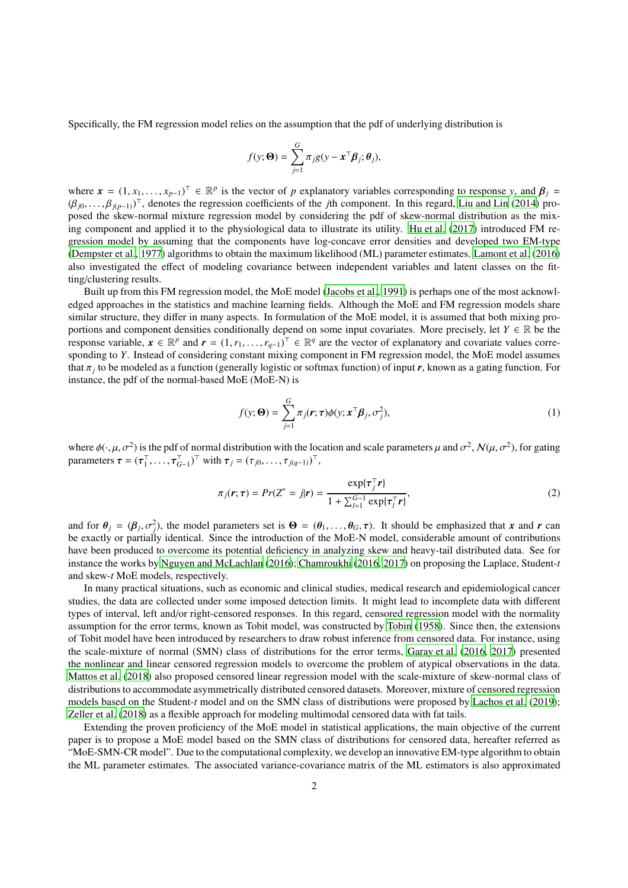Specifically, the FM regression model relies on the assumption that the pdf of underlying distribution is

$$
f(\mathbf{y};\mathbf{\Theta}) = \sum_{j=1}^{G} \pi_j g(\mathbf{y} - \mathbf{x}^\top \boldsymbol{\beta}_j; \boldsymbol{\theta}_j),
$$

where  $\mathbf{x} = (1, x_1, \dots, x_{p-1})^\top \in \mathbb{R}^p$  is the vector of *p* explanatory variables corresponding to response *y*, and  $\boldsymbol{\beta}_j =$  $(\beta_{j0}, \ldots, \beta_{j(p-1)})^{\top}$ , denotes the regression coefficients of the *j*th component. In this regard, [Liu and Lin \(2014\)](#page-19-11) proposed the skew-normal mixture regression model by considering the pdf of skew-normal distribution as the mixing component and applied it to the physiological data to illustrate its utility. [Hu et al.](#page-19-12) [\(2017\)](#page-19-12) introduced FM regression model by assuming that the components have log-concave error densities and developed two EM-type [\(Dempster et al.](#page-18-0), [1977](#page-18-0)) algorithms to obtain the maximum likelihood (ML) parameter estimates. [Lamont et al.](#page-19-13) [\(2016\)](#page-19-13) also investigated the effect of modeling covariance between independent variables and latent classes on the fitting/clustering results.

Built up from this FM regression model, the MoE model [\(Jacobs](#page-19-14) et al., [1991\)](#page-19-14) is perhaps one of the most acknowledged approaches in the statistics and machine learning fields. Although the MoE and FM regression models share similar structure, they differ in many aspects. In formulation of the MoE model, it is assumed that both mixing proportions and component densities conditionally depend on some input covariates. More precisely, let  $Y \in \mathbb{R}$  be the response variable,  $x \in \mathbb{R}^p$  and  $r = (1, r_1, \dots, r_{q-1})^\top \in \mathbb{R}^q$  are the vector of explanatory and covariate values corresponding to *Y*. Instead of considering constant mixing component in FM regression model, the MoE model assumes that π*<sup>j</sup>* to be modeled as a function (generally logistic or softmax function) of input *r*, known as a gating function. For instance, the pdf of the normal-based MoE (MoE-N) is

<span id="page-1-1"></span><span id="page-1-0"></span>
$$
f(y; \mathbf{\Theta}) = \sum_{j=1}^{G} \pi_j(\mathbf{r}; \tau) \phi(y; \mathbf{x}^{\top} \boldsymbol{\beta}_j, \sigma_j^2),
$$
 (1)

where  $\phi(\cdot,\mu,\sigma^2)$  is the pdf of normal distribution with the location and scale parameters  $\mu$  and  $\sigma^2$ ,  $\mathcal{N}(\mu,\sigma^2)$ , for gating parameters  $\boldsymbol{\tau} = (\boldsymbol{\tau}_1^{\top}, \dots, \boldsymbol{\tau}_{G-1}^{\top})^{\top}$  with  $\boldsymbol{\tau}_j = (\tau_{j0}, \dots, \tau_{j(q-1)})^{\top}$ ,

$$
\pi_j(\mathbf{r}; \boldsymbol{\tau}) = Pr(Z^* = j|\mathbf{r}) = \frac{\exp\{\boldsymbol{\tau}_j^{\top}\mathbf{r}\}}{1 + \sum_{i=1}^{G-1} \exp\{\boldsymbol{\tau}_i^{\top}\mathbf{r}\}},
$$
\n(2)

and for  $\theta_j = (\beta_j, \sigma_j^2)$ , the model parameters set is  $\Theta = (\theta_1, \dots, \theta_G, \tau)$ . It should be emphasized that *x* and *r* can be exactly or partially identical. Since the introduction of the MoE-N model, considerable amount of contributions have been produced to overcome its potential deficiency in analyzing skew and heavy-tail distributed data. See for instance the works by [Nguyen and McLachlan](#page-19-15) [\(2016\)](#page-19-15); [Chamroukhi](#page-18-1) [\(2016,](#page-18-1) [2017](#page-18-2)) on proposing the Laplace, Student-*t* and skew-*t* MoE models, respectively.

In many practical situations, such as economic and clinical studies, medical research and epidemiological cancer studies, the data are collected under some imposed detection limits. It might lead to incomplete data with different types of interval, left and/or right-censored responses. In this regard, censored regression model with the normality assumption for the error terms, known as Tobit model, was constructed by [Tobin \(1958](#page-19-16)). Since then, the extensions of Tobit model have been introduced by researchers to draw robust inference from censored data. For instance, using the scale-mixture of normal (SMN) class of distributions for the error terms, [Garay et al. \(2016,](#page-19-17) [2017\)](#page-19-18) presented the nonlinear and linear censored regression models to overcome the problem of atypical observations in the data. [Mattos et al. \(2018\)](#page-19-19) also proposed censored linear regression model with the scale-mixture of skew-normal class of distributions to accommodate asymmetrically distributed censored datasets. Moreover, mixture of censored regression models based on the Student-*t* model and on the SMN class of distributions were proposed by [Lachos et al.](#page-19-20) [\(2019\)](#page-19-20); [Zeller et al. \(2018\)](#page-19-21) as a flexible approach for modeling multimodal censored data with fat tails.

Extending the proven proficiency of the MoE model in statistical applications, the main objective of the current paper is to propose a MoE model based on the SMN class of distributions for censored data, hereafter referred as "MoE-SMN-CR model". Due to the computational complexity, we develop an innovative EM-type algorithm to obtain the ML parameter estimates. The associated variance-covariance matrix of the ML estimators is also approximated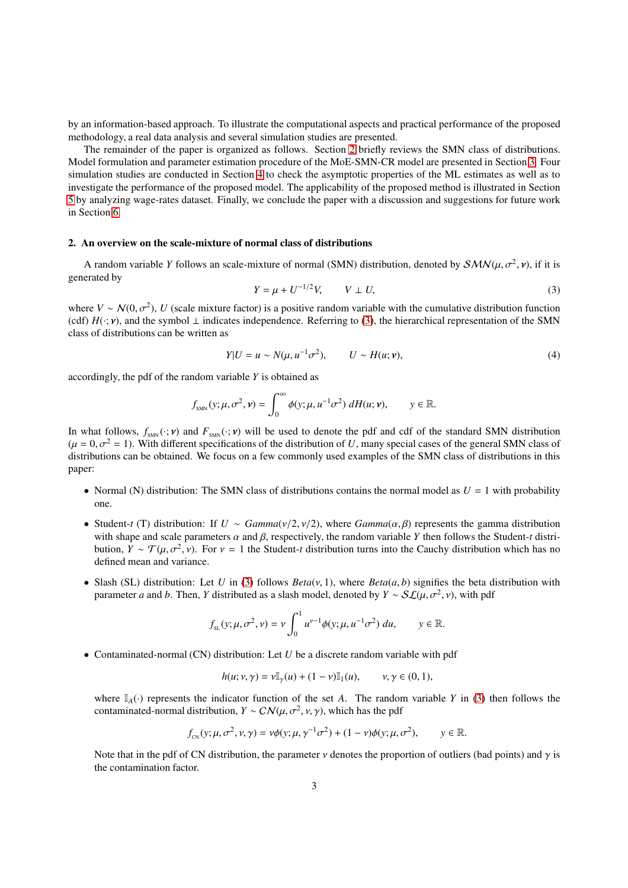by an information-based approach. To illustrate the computational aspects and practical performance of the proposed methodology, a real data analysis and several simulation studies are presented.

The remainder of the paper is organized as follows. Section [2](#page-2-0) briefly reviews the SMN class of distributions. Model formulation and parameter estimation procedure of the MoE-SMN-CR model are presented in Section [3.](#page-3-0) Four simulation studies are conducted in Section [4](#page-7-0) to check the asymptotic properties of the ML estimates as well as to investigate the performance of the proposed model. The applicability of the proposed method is illustrated in Section [5](#page-13-0) by analyzing wage-rates dataset. Finally, we conclude the paper with a discussion and suggestions for future work in Section [6.](#page-15-0)

#### <span id="page-2-0"></span>2. An overview on the scale-mixture of normal class of distributions

<span id="page-2-1"></span>A random variable *Y* follows an scale-mixture of normal (SMN) distribution, denoted by  $SMN(\mu, \sigma^2, \nu)$ , if it is generated by

$$
Y = \mu + U^{-1/2}V, \qquad V \perp U,
$$
 (3)

where  $V \sim \mathcal{N}(0, \sigma^2)$ , *U* (scale mixture factor) is a positive random variable with the cumulative distribution function (cdf)  $H(\cdot; v)$ , and the symbol  $\perp$  indicates independence. Referring to [\(3\)](#page-2-1), the hierarchical representation of the SMN class of distributions can be written as

<span id="page-2-2"></span>
$$
Y|U = u \sim N(\mu, u^{-1}\sigma^2), \qquad U \sim H(u; v), \tag{4}
$$

accordingly, the pdf of the random variable *Y* is obtained as

$$
f_{\text{SMN}}(y;\mu,\sigma^2,\nu)=\int_0^\infty \phi(y;\mu,u^{-1}\sigma^2) \, dH(u;\nu), \qquad y\in\mathbb{R}.
$$

In what follows,  $f_{\text{SMN}}(\cdot; \mathbf{v})$  and  $F_{\text{SMN}}(\cdot; \mathbf{v})$  will be used to denote the pdf and cdf of the standard SMN distribution  $(\mu = 0, \sigma^2 = 1)$ . With different specifications of the distribution of *U*, many special cases of the general SMN class of distributions can be obtained. We focus on a few commonly used examples of the SMN class of distributions in this paper:

- Normal (N) distribution: The SMN class of distributions contains the normal model as  $U = 1$  with probability one.
- Student-*t* (T) distribution: If  $U \sim \text{Gamma}(v/2, v/2)$ , where  $\text{Gamma}(\alpha, \beta)$  represents the gamma distribution with shape and scale parameters  $\alpha$  and  $\beta$ , respectively, the random variable *Y* then follows the Student-*t* distribution,  $Y \sim \mathcal{T}(\mu, \sigma^2, \nu)$ . For  $\nu = 1$  the Student-*t* distribution turns into the Cauchy distribution which has no defined mean and variance.
- Slash (SL) distribution: Let *U* in [\(3\)](#page-2-1) follows  $Beta(v, 1)$ , where  $Beta(a, b)$  signifies the beta distribution with parameter *a* and *b*. Then, *Y* distributed as a slash model, denoted by  $Y \sim S\mathcal{L}(\mu, \sigma^2, \nu)$ , with pdf

$$
f_{\rm SL}(y; \mu, \sigma^2, \nu) = \nu \int_0^1 u^{\nu-1} \phi(y; \mu, u^{-1} \sigma^2) du, \qquad y \in \mathbb{R}.
$$

• Contaminated-normal (CN) distribution: Let *U* be a discrete random variable with pdf

$$
h(u; v, \gamma) = v \mathbb{I}_{\gamma}(u) + (1 - v) \mathbb{I}_{1}(u), \qquad v, \gamma \in (0, 1),
$$

where  $\mathbb{I}_{A}(\cdot)$  represents the indicator function of the set *A*. The random variable *Y* in [\(3\)](#page-2-1) then follows the contaminated-normal distribution,  $Y \sim \mathcal{CN}(\mu, \sigma^2, \nu, \gamma)$ , which has the pdf

$$
f_{\text{CN}}(y;\mu,\sigma^2,\nu,\gamma)=\nu\phi(y;\mu,\gamma^{-1}\sigma^2)+(1-\nu)\phi(y;\mu,\sigma^2),\qquad y\in\mathbb{R}.
$$

Note that in the pdf of CN distribution, the parameter  $\nu$  denotes the proportion of outliers (bad points) and  $\gamma$  is the contamination factor.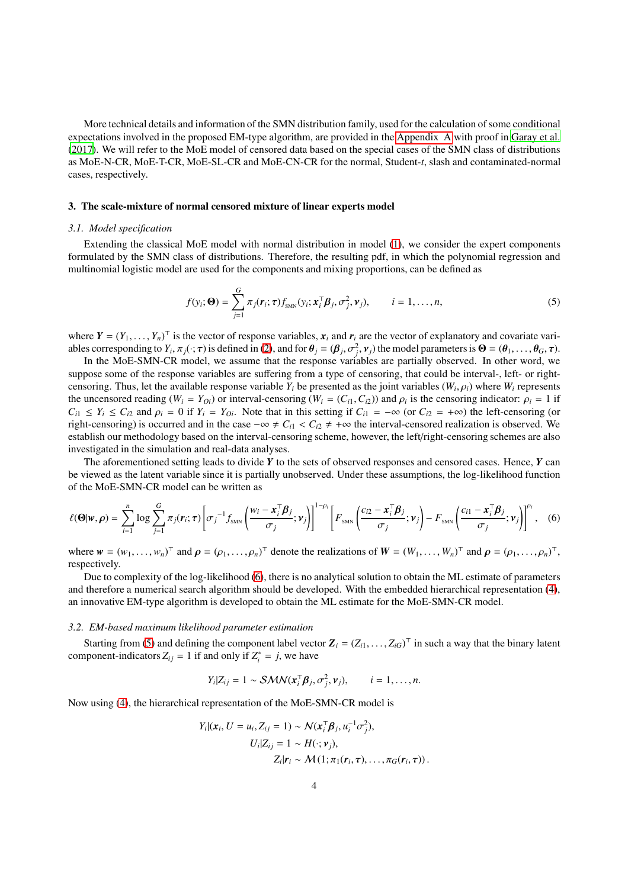More technical details and information of the SMN distribution family, used for the calculation of some conditional expectations involved in the proposed EM-type algorithm, are provided in the [Appendix A](#page-16-0) with proof in [Garay et al.](#page-19-18) [\(2017\)](#page-19-18). We will refer to the MoE model of censored data based on the special cases of the SMN class of distributions as MoE-N-CR, MoE-T-CR, MoE-SL-CR and MoE-CN-CR for the normal, Student-*t*, slash and contaminated-normal cases, respectively.

# <span id="page-3-0"></span>3. The scale-mixture of normal censored mixture of linear experts model

## *3.1. Model specification*

Extending the classical MoE model with normal distribution in model [\(1\)](#page-1-0), we consider the expert components formulated by the SMN class of distributions. Therefore, the resulting pdf, in which the polynomial regression and multinomial logistic model are used for the components and mixing proportions, can be defined as

<span id="page-3-2"></span>
$$
f(y_i; \mathbf{\Theta}) = \sum_{j=1}^{G} \pi_j(\mathbf{r}_i; \tau) f_{\text{SMN}}(y_i; \mathbf{x}_i^{\top} \boldsymbol{\beta}_j, \sigma_j^2, \mathbf{v}_j), \qquad i = 1, \dots, n,
$$
 (5)

where  $Y = (Y_1, \ldots, Y_n)^\top$  is the vector of response variables,  $x_i$  and  $r_i$  are the vector of explanatory and covariate variables corresponding to  $Y_i$ ,  $\pi_j(\cdot; \tau)$  is defined in [\(2\)](#page-1-1), and for  $\theta_j = (\beta_j, \sigma_j^2, \nu_j)$  the model parameters is  $\Theta = (\theta_1, \dots, \theta_G, \tau)$ .

In the MoE-SMN-CR model, we assume that the response variables are partially observed. In other word, we suppose some of the response variables are suffering from a type of censoring, that could be interval-, left- or rightcensoring. Thus, let the available response variable  $Y_i$  be presented as the joint variables  $(W_i, \rho_i)$  where  $W_i$  represents the uncensored reading ( $W_i = Y_{0i}$ ) or interval-censoring ( $W_i = (C_{i1}, C_{i2})$ ) and  $\rho_i$  is the censoring indicator:  $\rho_i = 1$  if  $C_{i1} \leq Y_i \leq C_{i2}$  and  $\rho_i = 0$  if  $Y_i = Y_{0i}$ . Note that in this setting if  $C_{i1} = -\infty$  (or  $C_{i2} = +\infty$ ) the left-censoring (or right-censoring) is occurred and in the case  $-\infty \neq C_{i1} < C_{i2} \neq +\infty$  the interval-censored realization is observed. We establish our methodology based on the interval-censoring scheme, however, the left/right-censoring schemes are also investigated in the simulation and real-data analyses.

The aforementioned setting leads to divide *Y* to the sets of observed responses and censored cases. Hence, *Y* can be viewed as the latent variable since it is partially unobserved. Under these assumptions, the log-likelihood function of the MoE-SMN-CR model can be written as

<span id="page-3-1"></span>
$$
\ell(\mathbf{\Theta}|\mathbf{w},\boldsymbol{\rho}) = \sum_{i=1}^{n} \log \sum_{j=1}^{G} \pi_j(\mathbf{r}_i;\boldsymbol{\tau}) \left[ \sigma_j^{-1} f_{\text{SMN}} \left( \frac{w_i - \mathbf{x}_i^{\mathsf{T}} \boldsymbol{\beta}_j}{\sigma_j}; \boldsymbol{\nu}_j \right) \right]^{1-\rho_i} \left[ F_{\text{SMN}} \left( \frac{c_{i2} - \mathbf{x}_i^{\mathsf{T}} \boldsymbol{\beta}_j}{\sigma_j}; \boldsymbol{\nu}_j \right) - F_{\text{SMN}} \left( \frac{c_{i1} - \mathbf{x}_i^{\mathsf{T}} \boldsymbol{\beta}_j}{\sigma_j}; \boldsymbol{\nu}_j \right) \right]^{\rho_i}, \quad (6)
$$

where  $w = (w_1, \ldots, w_n)^\top$  and  $\rho = (\rho_1, \ldots, \rho_n)^\top$  denote the realizations of  $W = (W_1, \ldots, W_n)^\top$  and  $\rho = (\rho_1, \ldots, \rho_n)^\top$ , respectively.

Due to complexity of the log-likelihood [\(6\)](#page-3-1), there is no analytical solution to obtain the ML estimate of parameters and therefore a numerical search algorithm should be developed. With the embedded hierarchical representation [\(4\)](#page-2-2), an innovative EM-type algorithm is developed to obtain the ML estimate for the MoE-SMN-CR model.

#### <span id="page-3-3"></span>*3.2. EM-based maximum likelihood parameter estimation*

Starting from [\(5\)](#page-3-2) and defining the component label vector  $Z_i = (Z_{i1}, \ldots, Z_{iG})^\top$  in such a way that the binary latent component-indicators  $Z_{ij} = 1$  if and only if  $Z_i^* = j$ , we have

$$
Y_i|Z_{ij} = 1 \sim \mathcal{SMN}(\mathbf{x}_i^{\mathsf{T}} \boldsymbol{\beta}_j, \sigma_j^2, \mathbf{v}_j), \qquad i = 1, \ldots, n.
$$

Now using [\(4\)](#page-2-2), the hierarchical representation of the MoE-SMN-CR model is

$$
Y_i | (\boldsymbol{x}_i, U = u_i, Z_{ij} = 1) \sim \mathcal{N}(\boldsymbol{x}_i^{\top} \boldsymbol{\beta}_j, u_i^{-1} \sigma_j^2),
$$
  
\n
$$
U_i | Z_{ij} = 1 \sim H(\cdot; \boldsymbol{v}_j),
$$
  
\n
$$
Z_i | \boldsymbol{r}_i \sim \mathcal{M}(1; \pi_1(\boldsymbol{r}_i, \boldsymbol{\tau}), \dots, \pi_G(\boldsymbol{r}_i, \boldsymbol{\tau})).
$$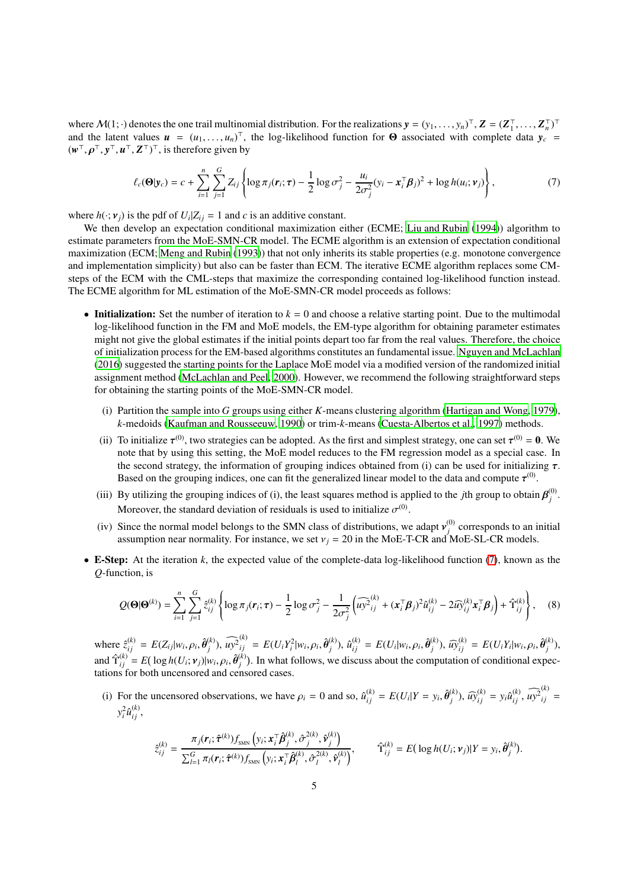where  $M(1; \cdot)$  denotes the one trail multinomial distribution. For the realizations  $y = (y_1, \ldots, y_n)^\top$ ,  $Z = (Z_1^\top, \ldots, Z_n^\top)^\top$ and the latent values  $u = (u_1, \ldots, u_n)^\top$ , the log-likelihood function for  $\Theta$  associated with complete data  $y_c =$ (*w* <sup>⊤</sup>, ρ <sup>⊤</sup>, *y* <sup>⊤</sup>, *u* <sup>⊤</sup>, *Z* ⊤) ⊤, is therefore given by

<span id="page-4-0"></span>
$$
\ell_c(\mathbf{\Theta}|\mathbf{y}_c) = c + \sum_{i=1}^n \sum_{j=1}^G Z_{ij} \left\{ \log \pi_j(\mathbf{r}_i; \tau) - \frac{1}{2} \log \sigma_j^2 - \frac{u_i}{2\sigma_j^2} (y_i - \mathbf{x}_i^{\top} \boldsymbol{\beta}_j)^2 + \log h(u_i; \mathbf{v}_j) \right\},
$$
(7)

where  $h(\cdot; v_j)$  is the pdf of  $U_i | Z_{ij} = 1$  and *c* is an additive constant.

We then develop an expectation conditional maximization either (ECME; [Liu and Rubin \(1994](#page-19-22))) algorithm to estimate parameters from the MoE-SMN-CR model. The ECME algorithm is an extension of expectation conditional maximization (ECM; [Meng and Rubin](#page-19-23) [\(1993\)](#page-19-23)) that not only inherits its stable properties (e.g. monotone convergence and implementation simplicity) but also can be faster than ECM. The iterative ECME algorithm replaces some CMsteps of the ECM with the CML-steps that maximize the corresponding contained log-likelihood function instead. The ECME algorithm for ML estimation of the MoE-SMN-CR model proceeds as follows:

- Initialization: Set the number of iteration to  $k = 0$  and choose a relative starting point. Due to the multimodal log-likelihood function in the FM and MoE models, the EM-type algorithm for obtaining parameter estimates might not give the global estimates if the initial points depart too far from the real values. Therefore, the choice of initialization process for the EM-based algorithms constitutes an fundamental issue. [Nguyen and McLachlan](#page-19-15) [\(2016\)](#page-19-15) suggested the starting points for the Laplace MoE model via a modified version of the randomized initial assignment method [\(McLachlan and Peel](#page-19-24), [2000\)](#page-19-24). However, we recommend the following straightforward steps for obtaining the starting points of the MoE-SMN-CR model.
	- (i) Partition the sample into *G* groups using either *K*-means clustering algorithm [\(Hartigan and Wong](#page-19-25), [1979\)](#page-19-25), *k*-medoids [\(Kaufman and Rousseeuw, 1990\)](#page-19-26) or trim-*k*-means [\(Cuesta-Albertos et al., 1997\)](#page-18-3) methods.
	- (ii) To initialize  $\tau^{(0)}$ , two strategies can be adopted. As the first and simplest strategy, one can set  $\tau^{(0)} = 0$ . We note that by using this setting, the MoE model reduces to the FM regression model as a special case. In the second strategy, the information of grouping indices obtained from (i) can be used for initializing  $\tau$ . Based on the grouping indices, one can fit the generalized linear model to the data and compute  $\tau^{(0)}$ .
	- (iii) By utilizing the grouping indices of (i), the least squares method is applied to the *j*th group to obtain  $\beta_j^{(0)}$ *j* . Moreover, the standard deviation of residuals is used to initialize  $\sigma^{(0)}$ .
	- (iv) Since the normal model belongs to the SMN class of distributions, we adapt  $v_i^{(0)}$  $j_j^{(0)}$  corresponds to an initial assumption near normality. For instance, we set  $v_j = 20$  in the MoE-T-CR and MoE-SL-CR models.
- E-Step: At the iteration *k*, the expected value of the complete-data log-likelihood function [\(7\)](#page-4-0), known as the *Q*-function, is

$$
Q(\mathbf{\Theta}|\mathbf{\Theta}^{(k)}) = \sum_{i=1}^{n} \sum_{j=1}^{G} \hat{z}_{ij}^{(k)} \left\{ \log \pi_j(\mathbf{r}_i; \tau) - \frac{1}{2} \log \sigma_j^2 - \frac{1}{2\sigma_j^2} \left( \widehat{u y^2}_{ij}^{(k)} + (\mathbf{x}_i^{\top} \boldsymbol{\beta}_j)^2 \widehat{u}_{ij}^{(k)} - 2 \widehat{u y}_{ij}^{(k)} \mathbf{x}_i^{\top} \boldsymbol{\beta}_j \right) + \widehat{\Upsilon}_{ij}^{(k)} \right\}, \quad (8)
$$

where  $\hat{z}_{ij}^{(k)} = E(Z_{ij} | w_i, \rho_i, \hat{\theta}_j^{(k)})$  $\widehat{u_j^{(k)}}$ ,  $\widehat{uv^2}_{ij}^{(k)} = E(U_i Y_i^2 | w_i, \rho_i, \hat{\theta}_j^{(k)})$  $j^{(k)}$ ),  $\hat{u}_{ij}^{(k)} = E(U_i|w_i, \rho_i, \hat{\theta}_j^{(k)})$  $E(Y_i|W_i, \rho_i, \hat{\theta}_j^{(k)}) = E(U_iY_i|W_i, \rho_i, \hat{\theta}_j^{(k)})$  $j^{(K)}$ ), and  $\hat{\Upsilon}_{ij}^{(k)} = E(\log h(U_i; \mathbf{v}_j)|w_i, \rho_i, \hat{\theta}_j^{(k)})$  $j^{(k)}$ ). In what follows, we discuss about the computation of conditional expectations for both uncensored and censored cases.

(i) For the uncensored observations, we have  $\rho_i = 0$  and so,  $\hat{u}_{ij}^{(k)} = E(U_i|Y = y_i, \hat{\theta}_{j}^{(k)})$  $(\hat{\mu}^k)$ ,  $\widehat{uy}^{(k)}_{ij} = y_i \widehat{u}^{(k)}_{ij}, \widehat{uy}^{(k)}_{ij} =$  $y_i^2 \hat{u}_{ij}^{(k)}$ ,

<span id="page-4-1"></span>
$$
\hat{z}_{ij}^{(k)} = \frac{\pi_j(\mathbf{r}_i; \hat{\boldsymbol{\tau}}^{(k)})f_{\text{SMN}}\left(y_i; \mathbf{x}_i^{\top}\hat{\boldsymbol{\beta}}_j^{(k)}, \hat{\sigma}_j^{2(k)}, \hat{\boldsymbol{\nu}}_j^{(k)}\right)}{\sum_{l=1}^G \pi_l(\mathbf{r}_i; \hat{\boldsymbol{\tau}}^{(k)})f_{\text{SMN}}\left(y_i; \mathbf{x}_i^{\top}\hat{\boldsymbol{\beta}}_l^{(k)}, \hat{\sigma}_l^{2(k)}, \hat{\boldsymbol{\nu}}_l^{(k)}\right)}, \qquad \hat{\Upsilon}_{ij}^{(k)} = E\left(\log h(U_i; \boldsymbol{\nu}_j)|Y = y_i, \hat{\boldsymbol{\theta}}_j^{(k)}\right).
$$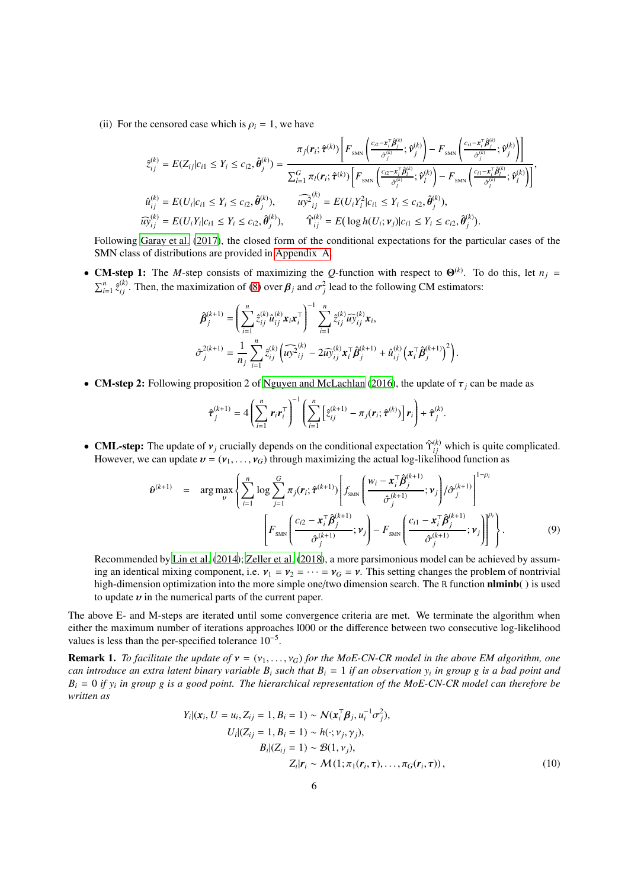(ii) For the censored case which is  $\rho_i = 1$ , we have

$$
\hat{z}_{ij}^{(k)} = E(Z_{ij}|c_{i1} \leq Y_i \leq c_{i2}, \hat{\theta}_j^{(k)}) = \frac{\pi_j(r_i; \hat{\tau}^{(k)}) \left[F_{\text{SMN}} \left(\frac{c_{i2} - x_i^{\top} \hat{\beta}_j^{(k)}}{\hat{\sigma}_j^{(k)}}; \hat{\nu}_j^{(k)}\right) - F_{\text{SMN}} \left(\frac{c_{i1} - x_i^{\top} \hat{\beta}_j^{(k)}}{\hat{\sigma}_j^{(k)}}; \hat{\nu}_j^{(k)}\right)\right]}{\sum_{l=1}^G \pi_l(r_i; \hat{\tau}^{(k)}) \left[F_{\text{SMN}} \left(\frac{c_{i2} - x_i^{\top} \hat{\beta}_j^{(k)}}{\hat{\sigma}_j^{(k)}}; \hat{\nu}_l^{(k)}\right) - F_{\text{SMN}} \left(\frac{c_{i1} - x_i^{\top} \hat{\beta}_j^{(k)}}{\hat{\sigma}_j^{(k)}}; \hat{\nu}_l^{(k)}\right)\right]};
$$
  

$$
\hat{u}_{ij}^{(k)} = E(U_i|c_{i1} \leq Y_i \leq c_{i2}, \hat{\theta}_j^{(k)}), \qquad \widehat{u y}_{ij}^{(k)} = E(U_i Y_i^2 | c_{i1} \leq Y_i \leq c_{i2}, \hat{\theta}_j^{(k)}),
$$
  

$$
\widehat{u y}_{ij}^{(k)} = E(U_i Y_i|c_{i1} \leq Y_i \leq c_{i2}, \hat{\theta}_j^{(k)}), \qquad \hat{Y}_{ij}^{(k)} = E(\log h(U_i; \nu_j)|c_{i1} \leq Y_i \leq c_{i2}, \hat{\theta}_j^{(k)}).
$$

Following [Garay et al. \(2017](#page-19-18)), the closed form of the conditional expectations for the particular cases of the SMN class of distributions are provided in [Appendix A.](#page-16-0)

• **CM-step 1:** The *M*-step consists of maximizing the *Q*-function with respect to  $\Theta^{(k)}$ . To do this, let  $n_j =$  $\sum_{i=1}^{n} \hat{z}_{ij}^{(k)}$ . Then, the maximization of [\(8\)](#page-4-1) over  $\beta_j$  and  $\sigma_j^2$  lead to the following CM estimators:

$$
\hat{\beta}_{j}^{(k+1)} = \left(\sum_{i=1}^{n} \hat{z}_{ij}^{(k)} \hat{u}_{ij}^{(k)} \mathbf{x}_{i} \mathbf{x}_{i}^{\top}\right)^{-1} \sum_{i=1}^{n} \hat{z}_{ij}^{(k)} \widehat{u_{ij}}^{(k)} \mathbf{x}_{i},
$$
\n
$$
\hat{\sigma}_{j}^{2(k+1)} = \frac{1}{n_{j}} \sum_{i=1}^{n} \hat{z}_{ij}^{(k)} \left(\widehat{u_{j}}^{2} \hat{z}_{ij}^{(k)} - 2 \widehat{u_{j}}^{(k)}_{ij} \mathbf{x}_{i}^{\top} \hat{\boldsymbol{\beta}}_{j}^{(k+1)} + \widehat{u}_{ij}^{(k)} \left(\mathbf{x}_{i}^{\top} \hat{\boldsymbol{\beta}}_{j}^{(k+1)}\right)^{2}\right).
$$

• **CM-step 2:** Following proposition 2 of [Nguyen and McLachlan](#page-19-15) [\(2016\)](#page-19-15), the update of  $\tau_j$  can be made as

$$
\hat{\boldsymbol{\tau}}_j^{(k+1)} = 4 \left( \sum_{i=1}^n \boldsymbol{r}_i \boldsymbol{r}_i^\top \right)^{-1} \left( \sum_{i=1}^n \left[ \hat{z}_{ij}^{(k+1)} - \pi_j(\boldsymbol{r}_i; \hat{\boldsymbol{\tau}}^{(k)}) \right] \boldsymbol{r}_i \right) + \hat{\boldsymbol{\tau}}_j^{(k)}.
$$

• CML-step: The update of  $v_j$  crucially depends on the conditional expectation  $\hat{\Upsilon}_{ij}^{(k)}$  which is quite complicated. However, we can update  $v = (v_1, \ldots, v_G)$  through maximizing the actual log-likelihood function as

<span id="page-5-1"></span>
$$
\hat{\mathbf{v}}^{(k+1)} = \arg \max_{\mathbf{v}} \left\{ \sum_{i=1}^{n} \log \sum_{j=1}^{G} \pi_{j}(\mathbf{r}_{i}; \hat{\boldsymbol{\tau}}^{(k+1)}) \left[ f_{\text{SMN}} \left( \frac{w_{i} - \mathbf{x}_{i}^{\top} \hat{\boldsymbol{\beta}}_{j}^{(k+1)}}{\hat{\sigma}_{j}^{(k+1)}} ; \mathbf{v}_{j} \right) / \hat{\sigma}_{j}^{(k+1)} \right]^{1-\rho_{i}} \right\}
$$
\n
$$
\left[ F_{\text{SMN}} \left( \frac{c_{i2} - \mathbf{x}_{i}^{\top} \hat{\boldsymbol{\beta}}_{j}^{(k+1)}}{\hat{\sigma}_{j}^{(k+1)}} ; \mathbf{v}_{j} \right) - F_{\text{SMN}} \left( \frac{c_{i1} - \mathbf{x}_{i}^{\top} \hat{\boldsymbol{\beta}}_{j}^{(k+1)}}{\hat{\sigma}_{j}^{(k+1)}} ; \mathbf{v}_{j} \right) \right]^{\rho_{i}} \right\}.
$$
\n(9)

Recommended by [Lin et al. \(2014\)](#page-19-27); [Zeller et al.](#page-19-21) [\(2018\)](#page-19-21), a more parsimonious model can be achieved by assuming an identical mixing component, i.e.  $v_1 = v_2 = \cdots = v_G = v$ . This setting changes the problem of nontrivial high-dimension optimization into the more simple one/two dimension search. The R function **nlminb**() is used to update  $v$  in the numerical parts of the current paper.

The above E- and M-steps are iterated until some convergence criteria are met. We terminate the algorithm when either the maximum number of iterations approaches l000 or the difference between two consecutive log-likelihood values is less than the per-specified tolerance  $10^{-5}$ .

<span id="page-5-2"></span>**Remark 1.** *To facilitate the update of*  $v = (v_1, \ldots, v_G)$  *for the MoE-CN-CR model in the above EM algorithm, one can introduce an extra latent binary variable B<sup>i</sup> such that B<sup>i</sup>* = 1 *if an observation y<sup>i</sup> in group g is a bad point and B<sup>i</sup>* = 0 *if y<sup>i</sup> in group g is a good point. The hierarchical representation of the MoE-CN-CR model can therefore be written as*

<span id="page-5-0"></span>
$$
Y_i|(x_i, U = u_i, Z_{ij} = 1, B_i = 1) \sim N(x_i^T \beta_j, u_i^{-1} \sigma_j^2),
$$
  
\n
$$
U_i|(Z_{ij} = 1, B_i = 1) \sim h(\cdot; v_j, \gamma_j),
$$
  
\n
$$
B_i|(Z_{ij} = 1) \sim \mathcal{B}(1, v_j),
$$
  
\n
$$
Z_i|r_i \sim M(1; \pi_1(r_i, \tau), \dots, \pi_G(r_i, \tau)),
$$
\n(10)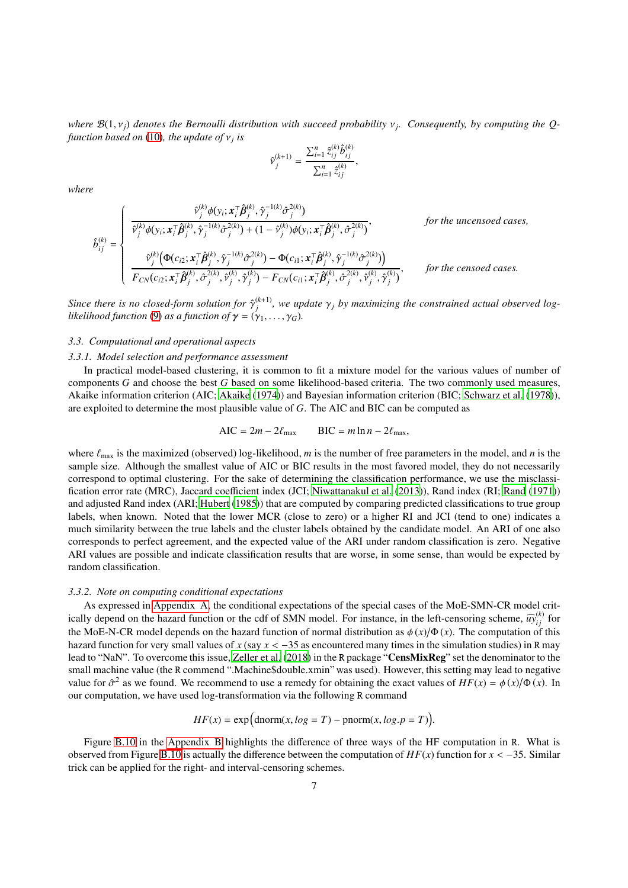*where* B(1, ν*j*) *denotes the Bernoulli distribution with succeed probability* ν*<sup>j</sup> . Consequently, by computing the Qfunction based on* [\(10\)](#page-5-0)*, the update of* ν*<sup>j</sup> is*

$$
\hat{\mathbf{v}}_{j}^{(k+1)} = \frac{\sum_{i=1}^{n} \hat{z}_{ij}^{(k)} \hat{b}_{ij}^{(k)}}{\sum_{i=1}^{n} \hat{z}_{ij}^{(k)}},
$$

*where*

$$
\hat{b}_{ij}^{(k)} = \begin{cases}\n\frac{\hat{v}_j^{(k)} \phi(y_i; \mathbf{x}_i^{\top} \hat{\boldsymbol{\beta}}_j^{(k)}, \hat{\gamma}_j^{-1(k)} \hat{\sigma}_j^{2(k)})}{\hat{v}_j^{(k)} \phi(y_i; \mathbf{x}_i^{\top} \hat{\boldsymbol{\beta}}_j^{(k)}, \hat{\gamma}_j^{-1(k)} \hat{\sigma}_j^{2(k)}) + (1 - \hat{v}_j^{(k)}) \phi(y_i; \mathbf{x}_i^{\top} \hat{\boldsymbol{\beta}}_j^{(k)}, \hat{\sigma}_j^{2(k)})}, & \text{for the uncensored cases,} \\
\frac{\hat{v}_j^{(k)} \big( \Phi(c_{i2}; \mathbf{x}_i^{\top} \hat{\boldsymbol{\beta}}_j^{(k)}, \hat{\gamma}_j^{-1(k)} \hat{\sigma}_j^{2(k)}) - \Phi(c_{i1}; \mathbf{x}_i^{\top} \hat{\boldsymbol{\beta}}_j^{(k)}, \hat{\gamma}_j^{-1(k)} \hat{\sigma}_j^{2(k)})\big)}{F_{CN}(c_{i2}; \mathbf{x}_i^{\top} \hat{\boldsymbol{\beta}}_j^{(k)}, \hat{\sigma}_j^{2(k)}, \hat{v}_j^{(k)}) - F_{CN}(c_{i1}; \mathbf{x}_i^{\top} \hat{\boldsymbol{\beta}}_j^{(k)}, \hat{\sigma}_j^{2(k)}, \hat{v}_j^{(k)}, \hat{\gamma}_j^{(k)})}, & \text{for the censored cases.} \n\end{cases}
$$

*Since there is no closed-form solution for*  $\hat{\gamma}_i^{(k+1)}$  $j_j^{(k+1)}$ , we update  $\gamma_j$  by maximizing the constrained actual observed log*likelihood function* [\(9\)](#page-5-1) *as a function of*  $\gamma = (\gamma_1, \ldots, \gamma_G)$ *.* 

### *3.3. Computational and operational aspects*

#### *3.3.1. Model selection and performance assessment*

In practical model-based clustering, it is common to fit a mixture model for the various values of number of components *G* and choose the best *G* based on some likelihood-based criteria. The two commonly used measures, Akaike information criterion (AIC; [Akaike](#page-18-4) [\(1974\)](#page-18-4)) and Bayesian information criterion (BIC; [Schwarz et al.](#page-19-28) [\(1978\)](#page-19-28)), are exploited to determine the most plausible value of *G*. The AIC and BIC can be computed as

$$
AIC = 2m - 2\ell_{\text{max}} \qquad BIC = m \ln n - 2\ell_{\text{max}},
$$

where  $\ell_{\text{max}}$  is the maximized (observed) log-likelihood, *m* is the number of free parameters in the model, and *n* is the sample size. Although the smallest value of AIC or BIC results in the most favored model, they do not necessarily correspond to optimal clustering. For the sake of determining the classification performance, we use the misclassification error rate (MRC), Jaccard coefficient index (JCI; [Niwattanakul et al.](#page-19-29) [\(2013\)](#page-19-29)), Rand index (RI; [Rand \(1971](#page-19-30))) and adjusted Rand index (ARI; [Hubert \(1985\)](#page-19-31)) that are computed by comparing predicted classifications to true group labels, when known. Noted that the lower MCR (close to zero) or a higher RI and JCI (tend to one) indicates a much similarity between the true labels and the cluster labels obtained by the candidate model. An ARI of one also corresponds to perfect agreement, and the expected value of the ARI under random classification is zero. Negative ARI values are possible and indicate classification results that are worse, in some sense, than would be expected by random classification.

## *3.3.2. Note on computing conditional expectations*

As expressed in [Appendix A,](#page-16-0) the conditional expectations of the special cases of the MoE-SMN-CR model critically depend on the hazard function or the cdf of SMN model. For instance, in the left-censoring scheme,  $\widehat{w}_{ij}^{(k)}$  for the MoE-N-CR model depends on the hazard function of normal distribution as  $\phi(x)/\Phi(x)$ . The computation of this hazard function for very small values of *<sup>x</sup>* (say *<sup>x</sup>* <sup>&</sup>lt; <sup>−</sup>35 as encountered many times in the simulation studies) in <sup>R</sup> may lead to "NaN". To overcome this issue, [Zeller et al.](#page-19-21) [\(2018\)](#page-19-21) in the R package "CensMixReg" set the denominator to the small machine value (the R commend ".Machine\$double.xmin" was used). However, this setting may lead to negative value for  $\hat{\sigma}^2$  as we found. We recommend to use a remedy for obtaining the exact values of  $HF(x) = \phi(x)/\Phi(x)$ . In our computation, we have used log-transformation via the following R command

$$
HF(x) = \exp\left(\text{dnorm}(x, \log T) - \text{pnorm}(x, \log p = T)\right).
$$

Figure [B.10](#page-18-5) in the [Appendix B](#page-17-0) highlights the difference of three ways of the HF computation in R. What is observed from Figure [B.10](#page-18-5) is actually the difference between the computation of *HF*(*x*) function for *x* < −35. Similar trick can be applied for the right- and interval-censoring schemes.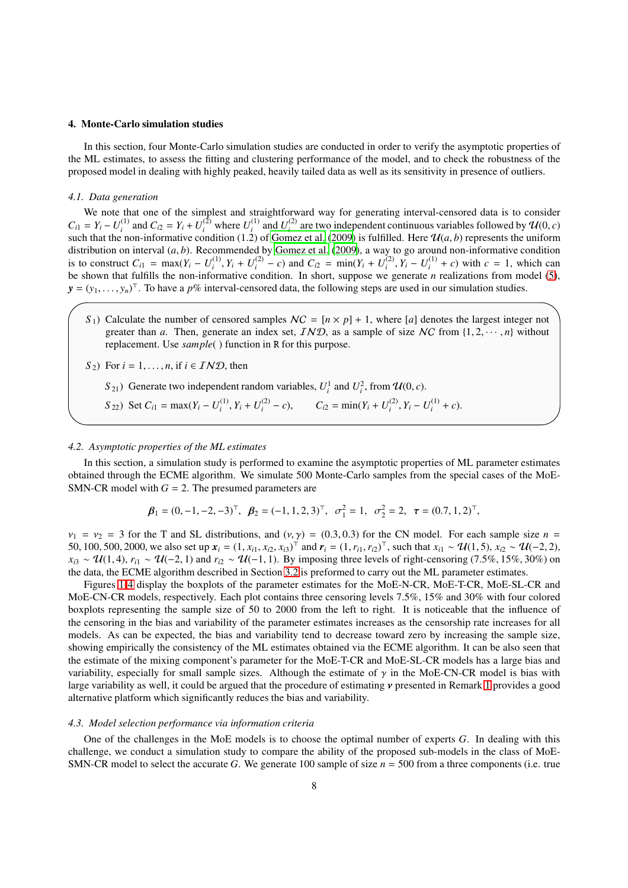#### <span id="page-7-0"></span>4. Monte-Carlo simulation studies

In this section, four Monte-Carlo simulation studies are conducted in order to verify the asymptotic properties of the ML estimates, to assess the fitting and clustering performance of the model, and to check the robustness of the proposed model in dealing with highly peaked, heavily tailed data as well as its sensitivity in presence of outliers.

#### *4.1. Data generation*

We note that one of the simplest and straightforward way for generating interval-censored data is to consider  $C_{i1} = Y_i - U_i^{(1)}$  $I_i^{(1)}$  and  $C_{i2} = Y_i + U_i^{(2)}$  where  $U_i^{(1)}$  $U_i^{(1)}$  and  $U_i^{(2)}$  $\mathcal{U}^{(2)}$  are two independent continuous variables followed by  $\mathcal{U}(0, c)$ such that the non-informative condition (1.2) of [Gomez et al. \(2009\)](#page-19-32) is fulfilled. Here  $\mathcal{U}(a, b)$  represents the uniform distribution on interval (*a*, *b*). Recommended by [Gomez et al.](#page-19-32) [\(2009\)](#page-19-32), a way to go around non-informative condition is to construct  $C_{i1} = \max(Y_i - U_i^{(1)})$  $U_i^{(1)}$ ,  $Y_i + U_i^{(2)}$  $\sum_{i}^{(2)}$  – *c*) and  $C_{i2}$  = min( $Y_i$  +  $U_i^{(2)}$  $Y_i^{(2)}$ ,  $Y_i - U_i^{(1)}$  $i^{(1)}$  + *c*) with *c* = 1, which can be shown that fulfills the non-informative condition. In short, suppose we generate *n* realizations from model [\(5\)](#page-3-2),  $y = (y_1, \ldots, y_n)^\top$ . To have a *p%* interval-censored data, the following steps are used in our simulation studies.

 $S_1$ ) Calculate the number of censored samples  $NC = [n \times p] + 1$ , where [*a*] denotes the largest integer not greater than *a*. Then, generate an index set,  $IND$ , as a sample of size NC from  $\{1, 2, \dots, n\}$  without replacement. Use *sample*( ) function in R for this purpose.

$$
S_2
$$
) For  $i = 1, ..., n$ , if  $i \in \mathcal{IND}$ , then

- *S*<sub>21</sub>) Generate two independent random variables,  $U_i^1$  and  $U_i^2$ , from  $\mathcal{U}(0, c)$ .
- *S* 22) Set  $C_{i1} = \max(Y_i U_i^{(1)})$  $I_i^{(1)}, Y_i + U_i^{(2)}$  $C_i^{(2)} - c$ ,  $C_{i2} = \min(Y_i + U_i^{(2)})$  $V_i^{(2)}$ ,  $Y_i - U_i^{(1)}$  $i^{(1)}$  + *c*).

## *4.2. Asymptotic properties of the ML estimates*

In this section, a simulation study is performed to examine the asymptotic properties of ML parameter estimates obtained through the ECME algorithm. We simulate 500 Monte-Carlo samples from the special cases of the MoE-SMN-CR model with  $G = 2$ . The presumed parameters are

$$
\boldsymbol{\beta}_1 = (0, -1, -2, -3)^{\top}, \ \boldsymbol{\beta}_2 = (-1, 1, 2, 3)^{\top}, \ \sigma_1^2 = 1, \ \sigma_2^2 = 2, \ \boldsymbol{\tau} = (0.7, 1, 2)^{\top},
$$

 $v_1 = v_2 = 3$  for the T and SL distributions, and  $(v, \gamma) = (0.3, 0.3)$  for the CN model. For each sample size  $n =$ 50, 100, 500, 2000, we also set up  $x_i = (1, x_{i1}, x_{i2}, x_{i3})^\top$  and  $r_i = (1, r_{i1}, r_{i2})^\top$ , such that  $x_{i1} \sim \mathcal{U}(1, 5)$ ,  $x_{i2} \sim \mathcal{U}(-2, 2)$ ,  $x_{i3} \sim \mathcal{U}(1, 4)$ ,  $r_{i1} \sim \mathcal{U}(-2, 1)$  and  $r_{i2} \sim \mathcal{U}(-1, 1)$ . By imposing three levels of right-censoring (7.5%, 15%, 30%) on the data, the ECME algorithm described in Section [3.2](#page-3-3) is preformed to carry out the ML parameter estimates.

Figures [1-](#page-8-0)[4](#page-9-0) display the boxplots of the parameter estimates for the MoE-N-CR, MoE-T-CR, MoE-SL-CR and MoE-CN-CR models, respectively. Each plot contains three censoring levels 7.5%, 15% and 30% with four colored boxplots representing the sample size of 50 to 2000 from the left to right. It is noticeable that the influence of the censoring in the bias and variability of the parameter estimates increases as the censorship rate increases for all models. As can be expected, the bias and variability tend to decrease toward zero by increasing the sample size, showing empirically the consistency of the ML estimates obtained via the ECME algorithm. It can be also seen that the estimate of the mixing component's parameter for the MoE-T-CR and MoE-SL-CR models has a large bias and variability, especially for small sample sizes. Although the estimate of  $\gamma$  in the MoE-CN-CR model is bias with large variability as well, it could be argued that the procedure of estimating ν presented in Remark [1](#page-5-2) provides a good alternative platform which significantly reduces the bias and variability.

## *4.3. Model selection performance via information criteria*

One of the challenges in the MoE models is to choose the optimal number of experts *G*. In dealing with this challenge, we conduct a simulation study to compare the ability of the proposed sub-models in the class of MoE-SMN-CR model to select the accurate *G*. We generate 100 sample of size *n* = 500 from a three components (i.e. true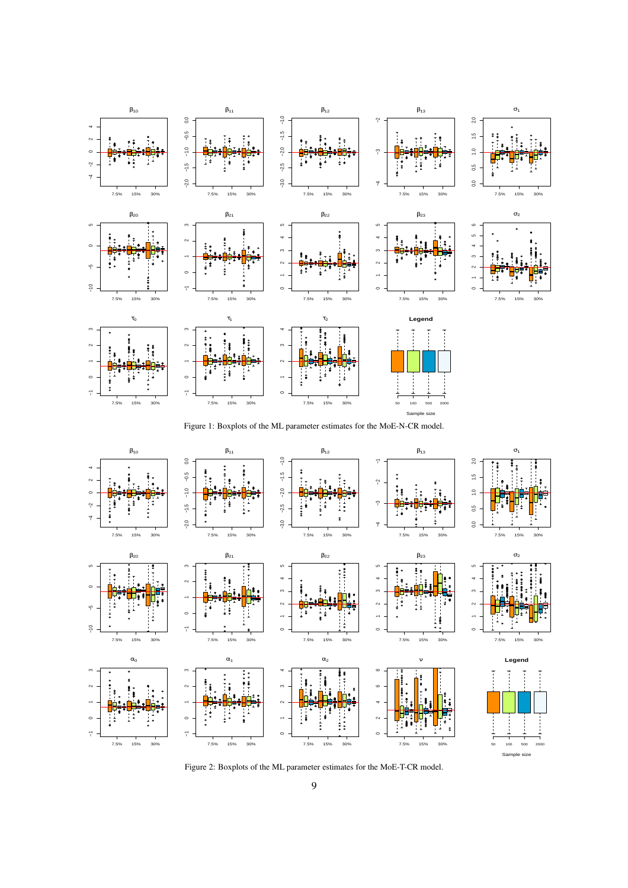

<span id="page-8-0"></span>Figure 1: Boxplots of the ML parameter estimates for the MoE-N-CR model.



Figure 2: Boxplots of the ML parameter estimates for the MoE-T-CR model.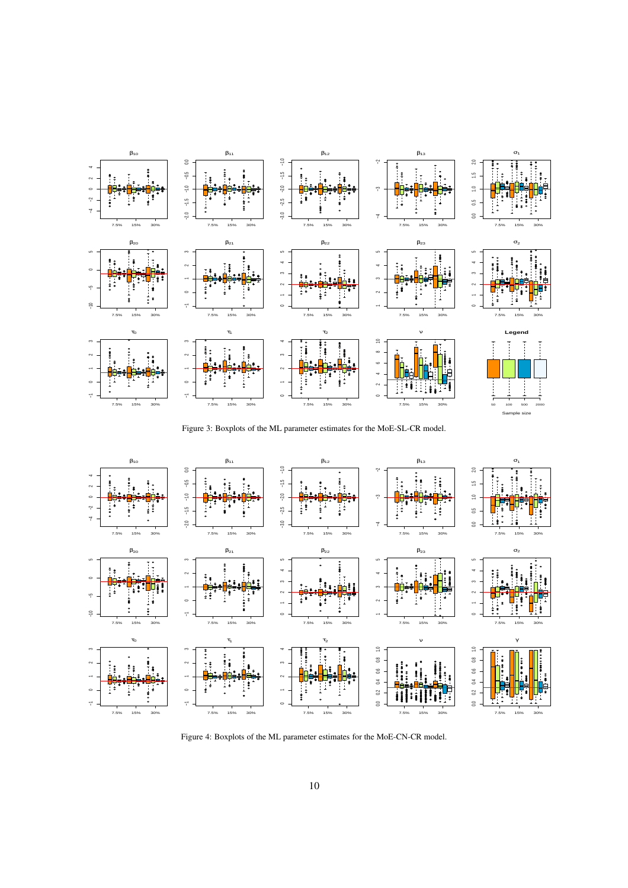

Figure 3: Boxplots of the ML parameter estimates for the MoE-SL-CR model.



<span id="page-9-0"></span>Figure 4: Boxplots of the ML parameter estimates for the MoE-CN-CR model.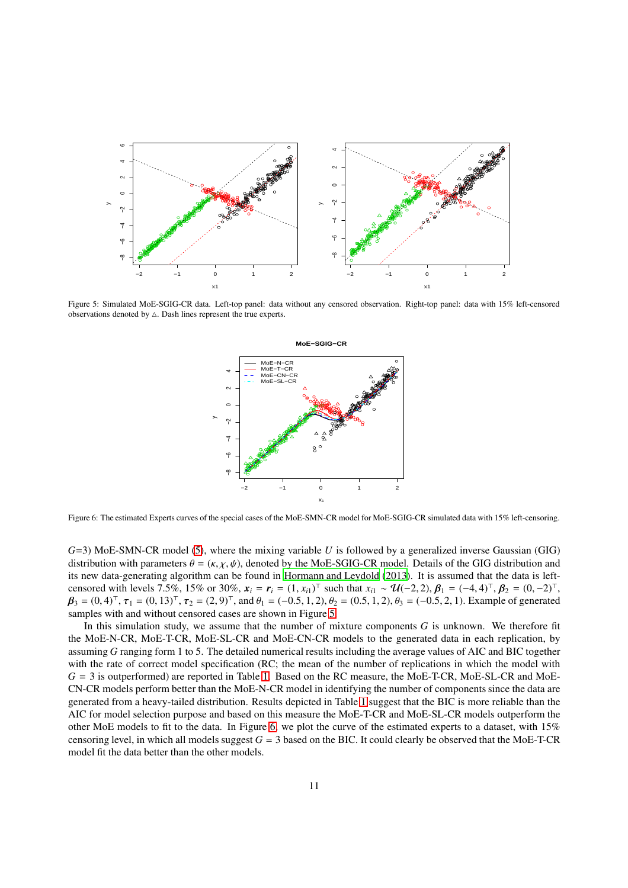

<span id="page-10-0"></span>Figure 5: Simulated MoE-SGIG-CR data. Left-top panel: data without any censored observation. Right-top panel: data with 15% left-censored observations denoted by  $\Delta$ . Dash lines represent the true experts.



<span id="page-10-1"></span>Figure 6: The estimated Experts curves of the special cases of the MoE-SMN-CR model for MoE-SGIG-CR simulated data with 15% left-censoring.

*G*=3) MoE-SMN-CR model [\(5\)](#page-3-2), where the mixing variable *U* is followed by a generalized inverse Gaussian (GIG) distribution with parameters  $\theta = (\kappa, \chi, \psi)$ , denoted by the MoE-SGIG-CR model. Details of the GIG distribution and its new data-generating algorithm can be found in [Hormann and Leydold](#page-19-33) [\(2013\)](#page-19-33). It is assumed that the data is leftcensored with levels 7.5%, 15% or 30%,  $x_i = r_i = (1, x_{i1})^\top$  such that  $x_{i1} \sim \mathcal{U}(-2, 2), \beta_1 = (-4, 4)^\top, \beta_2 = (0, -2)^\top,$  $\beta_3 = (0, 4)^{\top}, \tau_1 = (0, 13)^{\top}, \tau_2 = (2, 9)^{\top}, \text{ and } \theta_1 = (-0.5, 1, 2), \theta_2 = (0.5, 1, 2), \theta_3 = (-0.5, 2, 1).$  Example of generated samples with and without censored cases are shown in Figure [5.](#page-10-0)

In this simulation study, we assume that the number of mixture components *G* is unknown. We therefore fit the MoE-N-CR, MoE-T-CR, MoE-SL-CR and MoE-CN-CR models to the generated data in each replication, by assuming *G* ranging form 1 to 5. The detailed numerical results including the average values of AIC and BIC together with the rate of correct model specification (RC; the mean of the number of replications in which the model with *G* = 3 is outperformed) are reported in Table [1.](#page-11-0) Based on the RC measure, the MoE-T-CR, MoE-SL-CR and MoE-CN-CR models perform better than the MoE-N-CR model in identifying the number of components since the data are generated from a heavy-tailed distribution. Results depicted in Table [1](#page-11-0) suggest that the BIC is more reliable than the AIC for model selection purpose and based on this measure the MoE-T-CR and MoE-SL-CR models outperform the other MoE models to fit to the data. In Figure [6,](#page-10-1) we plot the curve of the estimated experts to a dataset, with 15% censoring level, in which all models suggest  $G = 3$  based on the BIC. It could clearly be observed that the MoE-T-CR model fit the data better than the other models.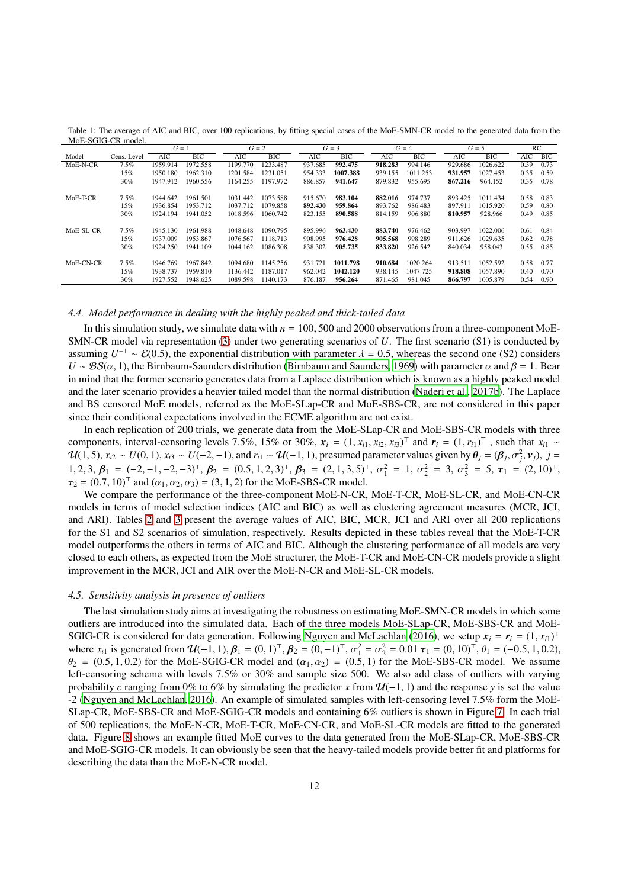|            |             | $G=1$    |          |          | $G=2$    |         | $G = 3$    |         | $G=4$      |         | $G=5$    |      | RC   |
|------------|-------------|----------|----------|----------|----------|---------|------------|---------|------------|---------|----------|------|------|
| Model      | Cens. Level | AIC      | BIC      | AIC      | BIC      | AIC     | <b>BIC</b> | AIC     | <b>BIC</b> | AIC     | BIC      | AIC  | BIC  |
| MoE-N-CR   | 7.5%        | 1959.914 | 1972.558 | 1199.770 | 1233.487 | 937.685 | 992.475    | 918.283 | 994.146    | 929.686 | 1026.622 | 0.39 | 0.73 |
|            | 15%         | 1950.180 | 1962.310 | 1201.584 | 1231.051 | 954.333 | 1007.388   | 939.155 | 1011.253   | 931.957 | 1027.453 | 0.35 | 0.59 |
|            | 30%         | 1947.912 | 1960.556 | 1164.255 | 1197.972 | 886.857 | 941.647    | 879.832 | 955.695    | 867.216 | 964.152  | 0.35 | 0.78 |
| $MoE-T-CR$ | 7.5%        | 1944.642 | 1961.501 | 1031.442 | 1073.588 | 915.670 | 983.104    | 882.016 | 974.737    | 893.425 | 1011.434 | 0.58 | 0.83 |
|            | 15%         | 1936.854 | 1953.712 | 1037.712 | 1079.858 | 892.430 | 959.864    | 893.762 | 986.483    | 897.911 | 1015.920 | 0.59 | 0.80 |
|            | 30%         | 1924.194 | 1941.052 | 1018.596 | 1060.742 | 823.155 | 890.588    | 814.159 | 906.880    | 810.957 | 928.966  | 0.49 | 0.85 |
| MoE-SL-CR  | 7.5%        | 1945.130 | 1961.988 | 1048.648 | 1090.795 | 895.996 | 963.430    | 883.740 | 976.462    | 903.997 | 1022.006 | 0.61 | 0.84 |
|            | 15%         | 1937.009 | 1953.867 | 1076.567 | 1118.713 | 908.995 | 976.428    | 905.568 | 998.289    | 911.626 | 1029.635 | 0.62 | 0.78 |
|            | 30%         | 1924.250 | 1941.109 | 1044.162 | 1086.308 | 838.302 | 905.735    | 833.820 | 926.542    | 840.034 | 958.043  | 0.55 | 0.85 |
| MoE-CN-CR  | 7.5%        | 1946.769 | 1967.842 | 1094.680 | 1145.256 | 931.721 | 1011.798   | 910.684 | 1020.264   | 913.511 | 1052.592 | 0.58 | 0.77 |
|            | 15%         | 1938.737 | 1959.810 | 1136.442 | 1187.017 | 962.042 | 1042.120   | 938.145 | 1047.725   | 918.808 | 1057.890 | 0.40 | 0.70 |
|            | 30%         | 1927.552 | 1948.625 | 1089.598 | 1140.173 | 876.187 | 956.264    | 871.465 | 981.045    | 866.797 | 1005.879 | 0.54 | 0.90 |

<span id="page-11-0"></span>Table 1: The average of AIC and BIC, over 100 replications, by fitting special cases of the MoE-SMN-CR model to the generated data from the MoE-SGIG-CR model.

#### *4.4. Model performance in dealing with the highly peaked and thick-tailed data*

In this simulation study, we simulate data with  $n = 100, 500$  and 2000 observations from a three-component MoE-SMN-CR model via representation [\(3\)](#page-2-1) under two generating scenarios of *U*. The first scenario (S1) is conducted by assuming  $U^{-1} \sim \mathcal{E}(0.5)$ , the exponential distribution with parameter  $\lambda = 0.5$ , whereas the second one (S2) considers  $U \sim BS(\alpha, 1)$ , the Birnbaum-Saunders distribution [\(Birnbaum and Saunders, 1969\)](#page-18-6) with parameter  $\alpha$  and  $\beta = 1$ . Bear in mind that the former scenario generates data from a Laplace distribution which is known as a highly peaked model and the later scenario provides a heavier tailed model than the normal distribution [\(Naderi et al., 2017b\)](#page-19-34). The Laplace and BS censored MoE models, referred as the MoE-SLap-CR and MoE-SBS-CR, are not considered in this paper since their conditional expectations involved in the ECME algorithm are not exist.

In each replication of 200 trials, we generate data from the MoE-SLap-CR and MoE-SBS-CR models with three components, interval-censoring levels 7.5%, 15% or 30%,  $\mathbf{x}_i = (1, x_{i1}, x_{i2}, x_{i3})^\top$  and  $\mathbf{r}_i = (1, r_{i1})^\top$ , such that  $x_{i1} \sim$  $\mathcal{U}(1, 5)$ ,  $x_{i2} \sim U(0, 1)$ ,  $x_{i3} \sim U(-2, -1)$ , and  $r_{i1} \sim \mathcal{U}(-1, 1)$ , presumed parameter values given by  $\theta_j = (\beta_j, \sigma_j^2, \nu_j)$ ,  $j =$ 1, 2, 3,  $\beta_1 = (-2, -1, -2, -3)^\top$ ,  $\beta_2 = (0.5, 1, 2, 3)^\top$ ,  $\beta_3 = (2, 1, 3, 5)^\top$ ,  $\sigma_1^2 = 1$ ,  $\sigma_2^2 = 3$ ,  $\sigma_3^2 = 5$ ,  $\tau_1 = (2, 10)^\top$ ,  $\tau_2 = (0.7, 10)^T$  and  $(\alpha_1, \alpha_2, \alpha_3) = (3, 1, 2)$  for the MoE-SBS-CR model.

We compare the performance of the three-component MoE-N-CR, MoE-T-CR, MoE-SL-CR, and MoE-CN-CR models in terms of model selection indices (AIC and BIC) as well as clustering agreement measures (MCR, JCI, and ARI). Tables [2](#page-12-0) and [3](#page-12-1) present the average values of AIC, BIC, MCR, JCI and ARI over all 200 replications for the S1 and S2 scenarios of simulation, respectively. Results depicted in these tables reveal that the MoE-T-CR model outperforms the others in terms of AIC and BIC. Although the clustering performance of all models are very closed to each others, as expected from the MoE structurer, the MoE-T-CR and MoE-CN-CR models provide a slight improvement in the MCR, JCI and AIR over the MoE-N-CR and MoE-SL-CR models.

## *4.5. Sensitivity analysis in presence of outliers*

The last simulation study aims at investigating the robustness on estimating MoE-SMN-CR models in which some outliers are introduced into the simulated data. Each of the three models MoE-SLap-CR, MoE-SBS-CR and MoE-SGIG-CR is considered for data generation. Following [Nguyen and McLachlan \(2016\)](#page-19-15), we setup  $x_i = r_i = (1, x_{i1})^\top$ where  $x_{i1}$  is generated from  $\mathcal{U}(-1, 1), \beta_1 = (0, 1)^{\top}, \beta_2 = (0, -1)^{\top}, \sigma_1^2 = \sigma_2^2 = 0.01 \tau_1 = (0, 10)^{\top}, \theta_1 = (-0.5, 1, 0.2),$  $\theta_2 = (0.5, 1, 0.2)$  for the MoE-SGIG-CR model and  $(\alpha_1, \alpha_2) = (0.5, 1)$  for the MoE-SBS-CR model. We assume left-censoring scheme with levels 7.5% or 30% and sample size 500. We also add class of outliers with varying probability *c* ranging from 0% to 6% by simulating the predictor *x* from U(−1, 1) and the response *y* is set the value -2 [\(Nguyen and McLachlan](#page-19-15), [2016](#page-19-15)). An example of simulated samples with left-censoring level 7.5% form the MoE-SLap-CR, MoE-SBS-CR and MoE-SGIG-CR models and containing 6% outliers is shown in Figure [7.](#page-12-2) In each trial of 500 replications, the MoE-N-CR, MoE-T-CR, MoE-CN-CR, and MoE-SL-CR models are fitted to the generated data. Figure [8](#page-14-0) shows an example fitted MoE curves to the data generated from the MoE-SLap-CR, MoE-SBS-CR and MoE-SGIG-CR models. It can obviously be seen that the heavy-tailed models provide better fit and platforms for describing the data than the MoE-N-CR model.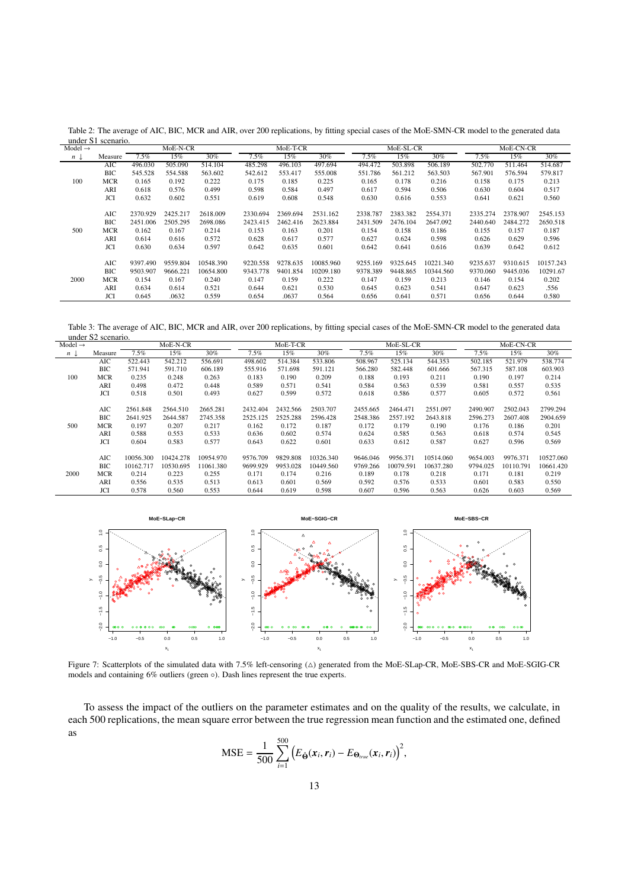<span id="page-12-0"></span>Table 2: The average of AIC, BIC, MCR and AIR, over 200 replications, by fitting special cases of the MoE-SMN-CR model to the generated data under S1 scenario.

| Model $\rightarrow$ |            |          | MoE-N-CR |           |          | MoE-T-CR |           |          | MoE-SL-CR |           |          | MoE-CN-CR |           |
|---------------------|------------|----------|----------|-----------|----------|----------|-----------|----------|-----------|-----------|----------|-----------|-----------|
| $n \downarrow$      | Measure    | $7.5\%$  | 15%      | 30%       | $7.5\%$  | 15%      | 30%       | 7.5%     | 15%       | 30%       | 7.5%     | 15%       | 30%       |
|                     | AIC        | 496.030  | 505.090  | 514.104   | 485.298  | 496.103  | 497.694   | 494.472  | 503.898   | 506.189   | 502.770  | 511.464   | 514.687   |
|                     | BIC        | 545.528  | 554.588  | 563.602   | 542.612  | 553.417  | 555.008   | 551.786  | 561.212   | 563.503   | 567.901  | 576.594   | 579.817   |
| 100                 | MCR        | 0.165    | 0.192    | 0.222     | 0.175    | 0.185    | 0.225     | 0.165    | 0.178     | 0.216     | 0.158    | 0.175     | 0.213     |
|                     | ARI        | 0.618    | 0.576    | 0.499     | 0.598    | 0.584    | 0.497     | 0.617    | 0.594     | 0.506     | 0.630    | 0.604     | 0.517     |
|                     | <b>JCI</b> | 0.632    | 0.602    | 0.551     | 0.619    | 0.608    | 0.548     | 0.630    | 0.616     | 0.553     | 0.641    | 0.621     | 0.560     |
|                     |            |          |          |           |          |          |           |          |           |           |          |           |           |
|                     | AIC        | 2370.929 | 2425.217 | 2618.009  | 2330.694 | 2369.694 | 2531.162  | 2338.787 | 2383.382  | 2554.371  | 2335.274 | 2378.907  | 2545.153  |
|                     | BІC        | 2451.006 | 2505.295 | 2698.086  | 2423.415 | 2462.416 | 2623.884  | 2431.509 | 2476.104  | 2647.092  | 2440.640 | 2484.272  | 2650.518  |
| 500                 | <b>MCR</b> | 0.162    | 0.167    | 0.214     | 0.153    | 0.163    | 0.201     | 0.154    | 0.158     | 0.186     | 0.155    | 0.157     | 0.187     |
|                     | ARI        | 0.614    | 0.616    | 0.572     | 0.628    | 0.617    | 0.577     | 0.627    | 0.624     | 0.598     | 0.626    | 0.629     | 0.596     |
|                     | <b>JCI</b> | 0.630    | 0.634    | 0.597     | 0.642    | 0.635    | 0.601     | 0.642    | 0.641     | 0.616     | 0.639    | 0.642     | 0.612     |
|                     |            |          |          |           |          |          |           |          |           |           |          |           |           |
|                     | AIC        | 9397.490 | 9559.804 | 10548.390 | 9220.558 | 9278.635 | 10085.960 | 9255.169 | 9325.645  | 10221.340 | 9235.637 | 9310.615  | 10157.243 |
|                     | BIC        | 9503.907 | 9666.221 | 10654.800 | 9343.778 | 9401.854 | 10209.180 | 9378.389 | 9448.865  | 10344.560 | 9370.060 | 9445.036  | 10291.67  |
| 2000                | MCR        | 0.154    | 0.167    | 0.240     | 0.147    | 0.159    | 0.222     | 0.147    | 0.159     | 0.213     | 0.146    | 0.154     | 0.202     |
|                     | ARI        | 0.634    | 0.614    | 0.521     | 0.644    | 0.621    | 0.530     | 0.645    | 0.623     | 0.541     | 0.647    | 0.623     | .556      |
|                     | JCI        | 0.645    | .0632    | 0.559     | 0.654    | .0637    | 0.564     | 0.656    | 0.641     | 0.571     | 0.656    | 0.644     | 0.580     |

<span id="page-12-1"></span>Table 3: The average of AIC, BIC, MCR and AIR, over 200 replications, by fitting special cases of the MoE-SMN-CR model to the generated data under S2 scenario.

|                     | $\frac{1}{2}$ |           |           |           |          |          |           |          |           |           |          |           |           |
|---------------------|---------------|-----------|-----------|-----------|----------|----------|-----------|----------|-----------|-----------|----------|-----------|-----------|
| Model $\rightarrow$ |               |           | MoE-N-CR  |           |          | MoE-T-CR |           |          | MoE-SL-CR |           |          | MoE-CN-CR |           |
| $n \downarrow$      | Measure       | 7.5%      | 15%       | 30%       | 7.5%     | 15%      | $30\%$    | 7.5%     | 15%       | $30\%$    | $7.5\%$  | 15%       | 30%       |
|                     | AIC           | 522.443   | 542.212   | 556.691   | 498.602  | 514.384  | 533.806   | 508.967  | 525.134   | 544.353   | 502.185  | 521.979   | 538.774   |
|                     | ВIС           | 571.941   | 591.710   | 606.189   | 555.916  | 571.698  | 591.121   | 566.280  | 582.448   | 601.666   | 567.315  | 587.108   | 603.903   |
| 100                 | <b>MCR</b>    | 0.235     | 0.248     | 0.263     | 0.183    | 0.190    | 0.209     | 0.188    | 0.193     | 0.211     | 0.190    | 0.197     | 0.214     |
|                     | ARI           | 0.498     | 0.472     | 0.448     | 0.589    | 0.571    | 0.541     | 0.584    | 0.563     | 0.539     | 0.581    | 0.557     | 0.535     |
|                     | <b>JCI</b>    | 0.518     | 0.501     | 0.493     | 0.627    | 0.599    | 0.572     | 0.618    | 0.586     | 0.577     | 0.605    | 0.572     | 0.561     |
|                     | AIC           | 2561.848  | 2564.510  | 2665.281  | 2432.404 | 2432.566 | 2503.707  | 2455.665 | 2464.471  | 2551.097  | 2490.907 | 2502.043  | 2799.294  |
|                     | BIC           | 2641.925  | 2644.587  | 2745.358  | 2525.125 | 2525.288 | 2596.428  | 2548.386 | 2557.192  | 2643.818  | 2596.273 | 2607.408  | 2904.659  |
| 500                 | <b>MCR</b>    | 0.197     | 0.207     | 0.217     | 0.162    | 0.172    | 0.187     | 0.172    | 0.179     | 0.190     | 0.176    | 0.186     | 0.201     |
|                     | ARI           | 0.588     | 0.553     | 0.533     | 0.636    | 0.602    | 0.574     | 0.624    | 0.585     | 0.563     | 0.618    | 0.574     | 0.545     |
|                     | JCI           | 0.604     | 0.583     | 0.577     | 0.643    | 0.622    | 0.601     | 0.633    | 0.612     | 0.587     | 0.627    | 0.596     | 0.569     |
|                     | AIC           | 10056.300 | 10424.278 | 10954.970 | 9576.709 | 9829.808 | 10326.340 | 9646.046 | 9956.371  | 10514.060 | 9654.003 | 9976.371  | 10527.060 |
|                     | BІC           | 10162.717 | 10530.695 | 11061.380 | 9699.929 | 9953.028 | 10449.560 | 9769.266 | 10079.591 | 10637.280 | 9794.025 | 10110.791 | 10661.420 |
| 2000                | <b>MCR</b>    | 0.214     | 0.223     | 0.255     | 0.171    | 0.174    | 0.216     | 0.189    | 0.178     | 0.218     | 0.171    | 0.181     | 0.219     |
|                     | ARI           | 0.556     | 0.535     | 0.513     | 0.613    | 0.601    | 0.569     | 0.592    | 0.576     | 0.533     | 0.601    | 0.583     | 0.550     |
|                     | <b>JCI</b>    | 0.578     | 0.560     | 0.553     | 0.644    | 0.619    | 0.598     | 0.607    | 0.596     | 0.563     | 0.626    | 0.603     | 0.569     |



<span id="page-12-2"></span>Figure 7: Scatterplots of the simulated data with 7.5% left-censoring ( $\triangle$ ) generated from the MoE-SLap-CR, MoE-SBS-CR and MoE-SGIG-CR models and containing 6% outliers (green ◦). Dash lines represent the true experts.

To assess the impact of the outliers on the parameter estimates and on the quality of the results, we calculate, in each 500 replications, the mean square error between the true regression mean function and the estimated one, defined as

$$
\text{MSE} = \frac{1}{500} \sum_{i=1}^{500} \left( E_{\hat{\Theta}}(\boldsymbol{x}_i, \boldsymbol{r}_i) - E_{\Theta_{true}}(\boldsymbol{x}_i, \boldsymbol{r}_i) \right)^2,
$$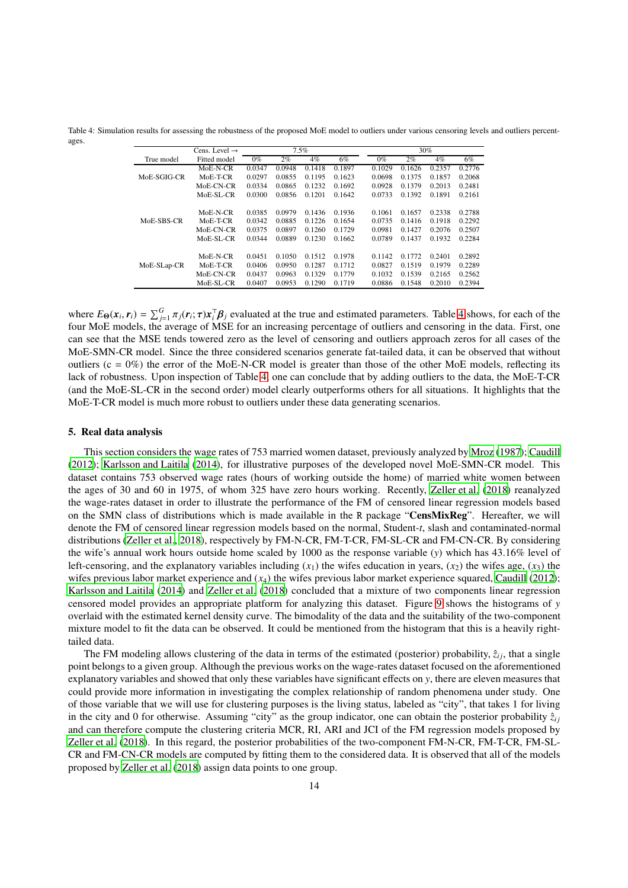<span id="page-13-1"></span>Table 4: Simulation results for assessing the robustness of the proposed MoE model to outliers under various censoring levels and outliers percentages.

|             | Cens. Level $\rightarrow$ |        |        | 7.5%   |        |        |        | 30%    |        |
|-------------|---------------------------|--------|--------|--------|--------|--------|--------|--------|--------|
| True model  | Fitted model              | $0\%$  | $2\%$  | $4\%$  | 6%     | $0\%$  | 2%     | $4\%$  | 6%     |
|             | MoE-N-CR                  | 0.0347 | 0.0948 | 0.1418 | 0.1897 | 0.1029 | 0.1626 | 0.2357 | 0.2776 |
| MoE-SGIG-CR | $MoE-T-CR$                | 0.0297 | 0.0855 | 0.1195 | 0.1623 | 0.0698 | 0.1375 | 0.1857 | 0.2068 |
|             | MoE-CN-CR                 | 0.0334 | 0.0865 | 0.1232 | 0.1692 | 0.0928 | 0.1379 | 0.2013 | 0.2481 |
|             | MoE-SL-CR                 | 0.0300 | 0.0856 | 0.1201 | 0.1642 | 0.0733 | 0.1392 | 0.1891 | 0.2161 |
|             |                           |        |        |        |        |        |        |        |        |
|             | $MoE-N-CR$                | 0.0385 | 0.0979 | 0.1436 | 0.1936 | 0.1061 | 0.1657 | 0.2338 | 0.2788 |
| MoE-SBS-CR  | $MoE-T-CR$                | 0.0342 | 0.0885 | 0.1226 | 0.1654 | 0.0735 | 0.1416 | 0.1918 | 0.2292 |
|             | MoE-CN-CR                 | 0.0375 | 0.0897 | 0.1260 | 0.1729 | 0.0981 | 0.1427 | 0.2076 | 0.2507 |
|             | MoE-SL-CR                 | 0.0344 | 0.0889 | 0.1230 | 0.1662 | 0.0789 | 0.1437 | 0.1932 | 0.2284 |
|             |                           |        |        |        |        |        |        |        |        |
|             | $MoE-N-CR$                | 0.0451 | 0.1050 | 0.1512 | 0.1978 | 0.1142 | 0.1772 | 0.2401 | 0.2892 |
| MoE-SLap-CR | $MoE-T-CR$                | 0.0406 | 0.0950 | 0.1287 | 0.1712 | 0.0827 | 0.1519 | 0.1979 | 0.2289 |
|             | MoE-CN-CR                 | 0.0437 | 0.0963 | 0.1329 | 0.1779 | 0.1032 | 0.1539 | 0.2165 | 0.2562 |
|             | MoE-SL-CR                 | 0.0407 | 0.0953 | 0.1290 | 0.1719 | 0.0886 | 0.1548 | 0.2010 | 0.2394 |
|             |                           |        |        |        |        |        |        |        |        |

where  $E_{\Theta}(x_i, r_i) = \sum_{j=1}^{G} \pi_j(r_i; \tau) x_i^{\top} \beta_j$  evaluated at the true and estimated parameters. Table [4](#page-13-1) shows, for each of the four MoE models, the average of MSE for an increasing percentage of outliers and censoring in the data. First, one can see that the MSE tends towered zero as the level of censoring and outliers approach zeros for all cases of the MoE-SMN-CR model. Since the three considered scenarios generate fat-tailed data, it can be observed that without outliers ( $c = 0\%$ ) the error of the MoE-N-CR model is greater than those of the other MoE models, reflecting its lack of robustness. Upon inspection of Table [4,](#page-13-1) one can conclude that by adding outliers to the data, the MoE-T-CR (and the MoE-SL-CR in the second order) model clearly outperforms others for all situations. It highlights that the MoE-T-CR model is much more robust to outliers under these data generating scenarios.

#### <span id="page-13-0"></span>5. Real data analysis

This section considers the wage rates of 753 married women dataset, previously analyzed by [Mroz \(1987](#page-19-35)); [Caudill](#page-18-7) [\(2012\)](#page-18-7); [Karlsson and Laitila](#page-19-36) [\(2014\)](#page-19-36), for illustrative purposes of the developed novel MoE-SMN-CR model. This dataset contains 753 observed wage rates (hours of working outside the home) of married white women between the ages of 30 and 60 in 1975, of whom 325 have zero hours working. Recently, [Zeller et al.](#page-19-21) [\(2018\)](#page-19-21) reanalyzed the wage-rates dataset in order to illustrate the performance of the FM of censored linear regression models based on the SMN class of distributions which is made available in the R package "CensMixReg". Hereafter, we will denote the FM of censored linear regression models based on the normal, Student-*t*, slash and contaminated-normal distributions [\(Zeller et al., 2018\)](#page-19-21), respectively by FM-N-CR, FM-T-CR, FM-SL-CR and FM-CN-CR. By considering the wife's annual work hours outside home scaled by 1000 as the response variable (*y*) which has 43.16% level of left-censoring, and the explanatory variables including  $(x_1)$  the wifes education in years,  $(x_2)$  the wifes age,  $(x_3)$  the wifes previous labor market experience and (*x*<sub>4</sub>) the wifes previous labor market experience squared, [Caudill](#page-18-7) [\(2012\)](#page-18-7); [Karlsson and Laitila \(2014](#page-19-36)) and [Zeller et al. \(2018\)](#page-19-21) concluded that a mixture of two components linear regression censored model provides an appropriate platform for analyzing this dataset. Figure [9](#page-14-1) shows the histograms of *y* overlaid with the estimated kernel density curve. The bimodality of the data and the suitability of the two-component mixture model to fit the data can be observed. It could be mentioned from the histogram that this is a heavily righttailed data.

The FM modeling allows clustering of the data in terms of the estimated (posterior) probability,  $\hat{z}_{ij}$ , that a single point belongs to a given group. Although the previous works on the wage-rates dataset focused on the aforementioned explanatory variables and showed that only these variables have significant effects on *y*, there are eleven measures that could provide more information in investigating the complex relationship of random phenomena under study. One of those variable that we will use for clustering purposes is the living status, labeled as "city", that takes 1 for living in the city and 0 for otherwise. Assuming "city" as the group indicator, one can obtain the posterior probability  $\hat{z}_{ij}$ and can therefore compute the clustering criteria MCR, RI, ARI and JCI of the FM regression models proposed by [Zeller et al.](#page-19-21) [\(2018\)](#page-19-21). In this regard, the posterior probabilities of the two-component FM-N-CR, FM-T-CR, FM-SL-CR and FM-CN-CR models are computed by fitting them to the considered data. It is observed that all of the models proposed by [Zeller et al.](#page-19-21) [\(2018\)](#page-19-21) assign data points to one group.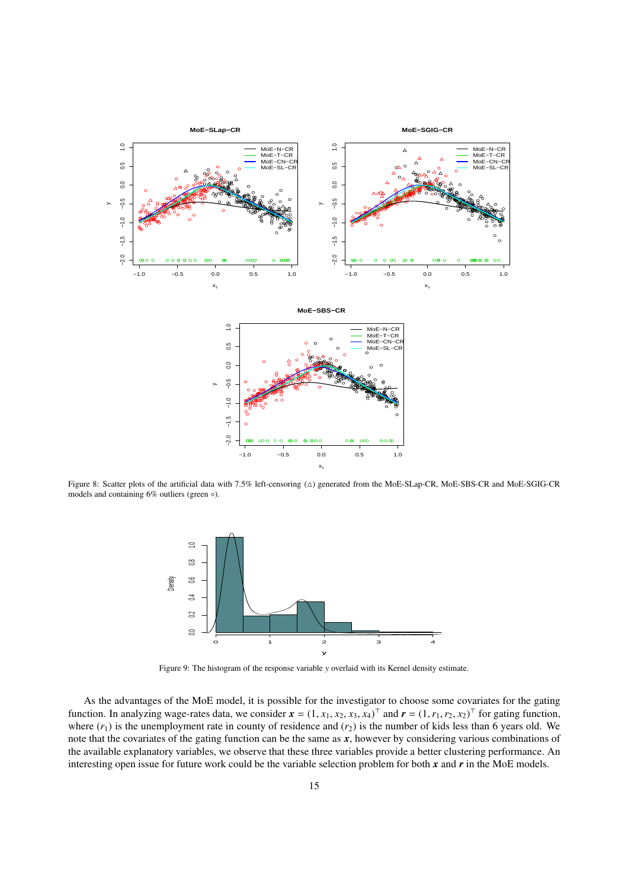

<span id="page-14-0"></span>Figure 8: Scatter plots of the artificial data with 7.5% left-censoring (△) generated from the MoE-SLap-CR, MoE-SBS-CR and MoE-SGIG-CR models and containing 6% outliers (green ◦).



<span id="page-14-1"></span>Figure 9: The histogram of the response variable *y* overlaid with its Kernel density estimate.

As the advantages of the MoE model, it is possible for the investigator to choose some covariates for the gating function. In analyzing wage-rates data, we consider  $x = (1, x_1, x_2, x_3, x_4)^\top$  and  $r = (1, r_1, r_2, x_2)^\top$  for gating function, where  $(r_1)$  is the unemployment rate in county of residence and  $(r_2)$  is the number of kids less than 6 years old. We note that the covariates of the gating function can be the same as *x*, however by considering various combinations of the available explanatory variables, we observe that these three variables provide a better clustering performance. An interesting open issue for future work could be the variable selection problem for both *x* and *r* in the MoE models.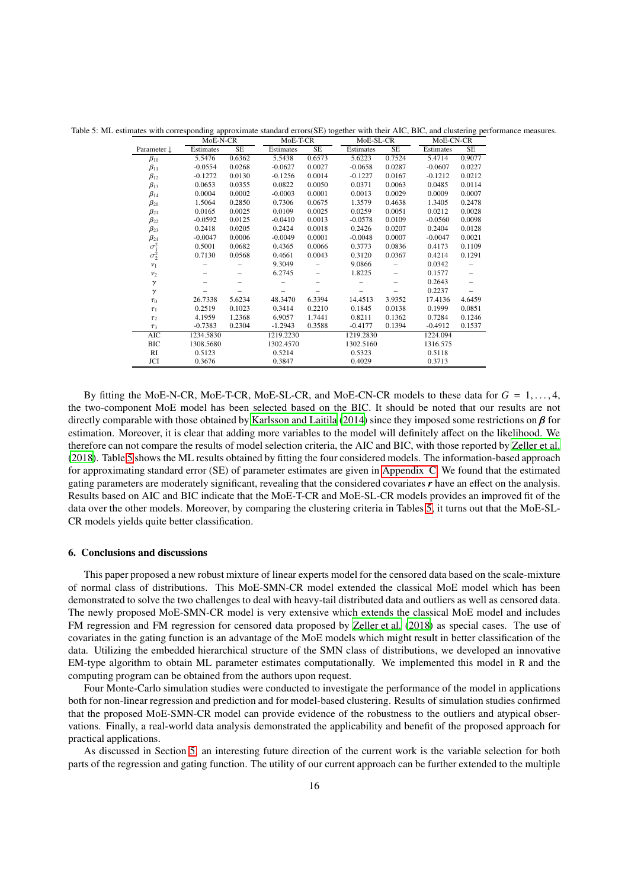Table 5: ML estimates with corresponding approximate standard errors(SE) together with their AIC, BIC, and clustering performance measures.

<span id="page-15-1"></span>

|                        | MoE-N-CR  |           | MoE-T-CR  |           | MoE-SL-CR |           | MoE-CN-CR |           |  |
|------------------------|-----------|-----------|-----------|-----------|-----------|-----------|-----------|-----------|--|
| Parameter $\downarrow$ | Estimates | <b>SE</b> | Estimates | <b>SE</b> | Estimates | <b>SE</b> | Estimates | <b>SE</b> |  |
| $\beta_{10}$           | 5.5476    | 0.6362    | 5.5438    | 0.6573    | 5.6223    | 0.7524    | 5.4714    | 0.9077    |  |
| $\beta_{11}$           | $-0.0554$ | 0.0268    | $-0.0627$ | 0.0027    | $-0.0658$ | 0.0287    | $-0.0607$ | 0.0227    |  |
| $\beta_{12}$           | $-0.1272$ | 0.0130    | $-0.1256$ | 0.0014    | $-0.1227$ | 0.0167    | $-0.1212$ | 0.0212    |  |
| $\beta_{13}$           | 0.0653    | 0.0355    | 0.0822    | 0.0050    | 0.0371    | 0.0063    | 0.0485    | 0.0114    |  |
| $\beta_{14}$           | 0.0004    | 0.0002    | $-0.0003$ | 0.0001    | 0.0013    | 0.0029    | 0.0009    | 0.0007    |  |
| $\beta_{20}$           | 1.5064    | 0.2850    | 0.7306    | 0.0675    | 1.3579    | 0.4638    | 1.3405    | 0.2478    |  |
| $\beta_{21}$           | 0.0165    | 0.0025    | 0.0109    | 0.0025    | 0.0259    | 0.0051    | 0.0212    | 0.0028    |  |
| $\beta_{22}$           | $-0.0592$ | 0.0125    | $-0.0410$ | 0.0013    | $-0.0578$ | 0.0109    | $-0.0560$ | 0.0098    |  |
| $\beta_{23}$           | 0.2418    | 0.0205    | 0.2424    | 0.0018    | 0.2426    | 0.0207    | 0.2404    | 0.0128    |  |
| $\beta_{24}$           | $-0.0047$ | 0.0006    | $-0.0049$ | 0.0001    | $-0.0048$ | 0.0007    | $-0.0047$ | 0.0021    |  |
|                        | 0.5001    | 0.0682    | 0.4365    | 0.0066    | 0.3773    | 0.0836    | 0.4173    | 0.1109    |  |
| $\sigma_1^2$           | 0.7130    | 0.0568    | 0.4661    | 0.0043    | 0.3120    | 0.0367    | 0.4214    | 0.1291    |  |
| $v_1$                  |           |           | 9.3049    |           | 9.0866    |           | 0.0342    |           |  |
| $v_2$                  |           |           | 6.2745    |           | 1.8225    |           | 0.1577    |           |  |
| $\gamma$               |           |           |           |           |           |           | 0.2643    |           |  |
| $\gamma$               |           |           |           |           |           |           | 0.2237    |           |  |
| $\tau_0$               | 26.7338   | 5.6234    | 48.3470   | 6.3394    | 14.4513   | 3.9352    | 17.4136   | 4.6459    |  |
| $\tau_1$               | 0.2519    | 0.1023    | 0.3414    | 0.2210    | 0.1845    | 0.0138    | 0.1999    | 0.0851    |  |
| $\tau_2$               | 4.1959    | 1.2368    | 6.9057    | 1.7441    | 0.8211    | 0.1362    | 0.7284    | 0.1246    |  |
| $\tau_3$               | $-0.7383$ | 0.2304    | $-1.2943$ | 0.3588    | $-0.4177$ | 0.1394    | $-0.4912$ | 0.1537    |  |
| <b>AIC</b>             | 1234.5830 |           | 1219.2230 |           | 1219.2830 |           | 1224.094  |           |  |
| <b>BIC</b>             | 1308.5680 |           | 1302.4570 |           | 1302.5160 |           | 1316.575  |           |  |
| RI                     | 0.5123    |           | 0.5214    |           | 0.5323    |           | 0.5118    |           |  |
| JCI                    | 0.3676    |           | 0.3847    |           | 0.4029    |           | 0.3713    |           |  |

By fitting the MoE-N-CR, MoE-T-CR, MoE-SL-CR, and MoE-CN-CR models to these data for *G* = 1, . . . , 4, the two-component MoE model has been selected based on the BIC. It should be noted that our results are not directly comparable with those obtained by [Karlsson and Laitila \(2014\)](#page-19-36) since they imposed some restrictions on  $\beta$  for estimation. Moreover, it is clear that adding more variables to the model will definitely affect on the likelihood. We therefore can not compare the results of model selection criteria, the AIC and BIC, with those reported by [Zeller et al.](#page-19-21) [\(2018\)](#page-19-21). Table [5](#page-15-1) shows the ML results obtained by fitting the four considered models. The information-based approach for approximating standard error (SE) of parameter estimates are given in [Appendix C.](#page-17-1) We found that the estimated gating parameters are moderately significant, revealing that the considered covariates *r* have an effect on the analysis. Results based on AIC and BIC indicate that the MoE-T-CR and MoE-SL-CR models provides an improved fit of the data over the other models. Moreover, by comparing the clustering criteria in Tables [5,](#page-15-1) it turns out that the MoE-SL-CR models yields quite better classification.

## <span id="page-15-0"></span>6. Conclusions and discussions

This paper proposed a new robust mixture of linear experts model for the censored data based on the scale-mixture of normal class of distributions. This MoE-SMN-CR model extended the classical MoE model which has been demonstrated to solve the two challenges to deal with heavy-tail distributed data and outliers as well as censored data. The newly proposed MoE-SMN-CR model is very extensive which extends the classical MoE model and includes FM regression and FM regression for censored data proposed by [Zeller et al. \(2018](#page-19-21)) as special cases. The use of covariates in the gating function is an advantage of the MoE models which might result in better classification of the data. Utilizing the embedded hierarchical structure of the SMN class of distributions, we developed an innovative EM-type algorithm to obtain ML parameter estimates computationally. We implemented this model in R and the computing program can be obtained from the authors upon request.

Four Monte-Carlo simulation studies were conducted to investigate the performance of the model in applications both for non-linear regression and prediction and for model-based clustering. Results of simulation studies confirmed that the proposed MoE-SMN-CR model can provide evidence of the robustness to the outliers and atypical observations. Finally, a real-world data analysis demonstrated the applicability and benefit of the proposed approach for practical applications.

As discussed in Section [5,](#page-13-0) an interesting future direction of the current work is the variable selection for both parts of the regression and gating function. The utility of our current approach can be further extended to the multiple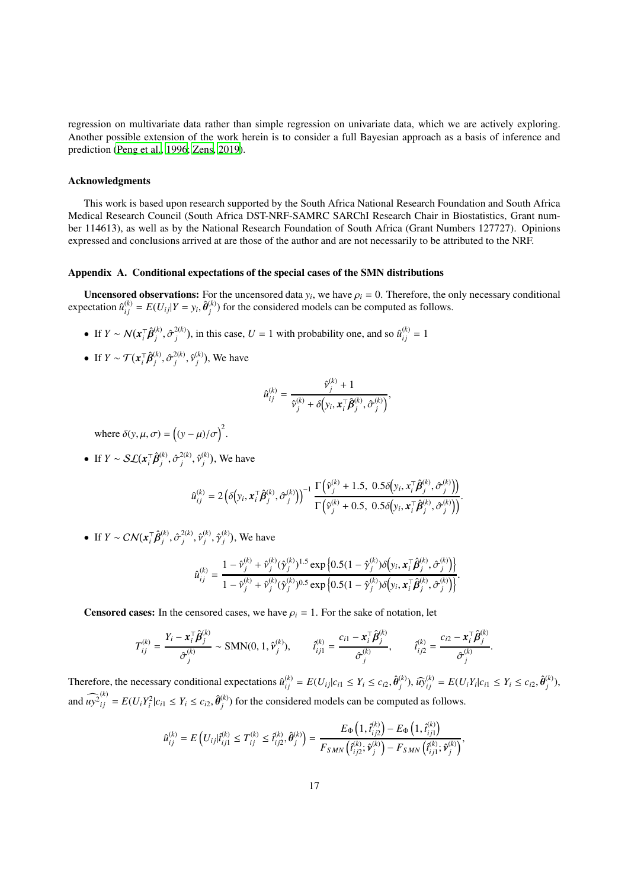regression on multivariate data rather than simple regression on univariate data, which we are actively exploring. Another possible extension of the work herein is to consider a full Bayesian approach as a basis of inference and prediction [\(Peng et al., 1996;](#page-19-37) [Zens](#page-19-38), [2019\)](#page-19-38).

# Acknowledgments

This work is based upon research supported by the South Africa National Research Foundation and South Africa Medical Research Council (South Africa DST-NRF-SAMRC SARChI Research Chair in Biostatistics, Grant number 114613), as well as by the National Research Foundation of South Africa (Grant Numbers 127727). Opinions expressed and conclusions arrived at are those of the author and are not necessarily to be attributed to the NRF.

# <span id="page-16-0"></span>Appendix A. Conditional expectations of the special cases of the SMN distributions

**Uncensored observations:** For the uncensored data  $y_i$ , we have  $\rho_i = 0$ . Therefore, the only necessary conditional  $\exp\{\hat{\mathbf{u}}_{ij}^{(k)} = E(U_{ij} | Y = y_i, \hat{\boldsymbol{\theta}}_j^{(k)}\})$  $j^{(k)}$ ) for the considered models can be computed as follows.

- If  $Y \sim \mathcal{N}(x_i^\top \hat{\beta}_j^{(k)})$  $j^{(k)}, \hat{\sigma}_j^{2(k)}$  $\hat{u}^{(k)}$ , in this case,  $U = 1$  with probability one, and so  $\hat{u}^{(k)}_{ij} = 1$
- If  $Y \sim \mathcal{T}(x_i^\top \hat{\beta}_j^{(k)})$  $j^{(k)}, \hat{\sigma}_j^{2(k)}$  $\hat{\mathcal{V}}_j^{(k)}, \hat{\mathcal{V}}_j^{(k)}$  $j^{(k)}$ ), We have

$$
\hat{u}_{ij}^{(k)} = \frac{\hat{v}_j^{(k)} + 1}{\hat{v}_j^{(k)} + \delta\left(y_i, \boldsymbol{x}_i^{\top} \hat{\boldsymbol{\beta}}_j^{(k)}, \hat{\sigma}_j^{(k)}\right)},
$$

where  $\delta(y, \mu, \sigma) = ((y - \mu)/\sigma)^2$ .

• If  $Y \sim \mathcal{SL}(x_i^{\top} \hat{\beta}_j^{(k)})$  $j^{(k)}, \hat{\sigma}^{2(k)}_j$  $\hat{\mathcal{v}}^{(k)}_j, \hat{\mathcal{v}}^{(k)}_j$  $j^{(k)}$ ), We have

$$
\hat{u}_{ij}^{(k)} = 2\left(\delta\left(y_i, \boldsymbol{x}_i^{\top}\hat{\boldsymbol{\beta}}_j^{(k)}, \hat{\sigma}_j^{(k)}\right)\right)^{-1} \frac{\Gamma\left(\hat{v}_j^{(k)} + 1.5, 0.5\delta\left(y_i, \boldsymbol{x}_i^{\top}\hat{\boldsymbol{\beta}}_j^{(k)}, \hat{\sigma}_j^{(k)}\right)\right)}{\Gamma\left(\hat{v}_j^{(k)} + 0.5, 0.5\delta\left(y_i, \boldsymbol{x}_i^{\top}\hat{\boldsymbol{\beta}}_j^{(k)}, \hat{\sigma}_j^{(k)}\right)\right)}.
$$

• If  $Y \sim \mathcal{CN}(x_i^{\top} \hat{\beta}_j^{(k)})$  $j^{(k)}, \hat{\sigma}^{2(k)}_j$  $\hat{\mathcal{V}}_j^{(k)}, \hat{\mathcal{V}}_j^{(k)}$  $j^{(k)}, \hat{\gamma}_j^{(k)}$  $j^{(k)}$ ), We have

$$
\hat{u}_{ij}^{(k)} = \frac{1 - \hat{v}_j^{(k)} + \hat{v}_j^{(k)}(\hat{\gamma}_j^{(k)})^{1.5} \exp\left\{0.5(1 - \hat{\gamma}_j^{(k)})\delta\left(y_i, \mathbf{x}_i^{\top}\hat{\boldsymbol{\beta}}_j^{(k)}, \hat{\sigma}_j^{(k)}\right)\right\}}{1 - \hat{v}_j^{(k)} + \hat{v}_j^{(k)}(\hat{\gamma}_j^{(k)})^{0.5} \exp\left\{0.5(1 - \hat{\gamma}_j^{(k)})\delta\left(y_i, \mathbf{x}_i^{\top}\hat{\boldsymbol{\beta}}_j^{(k)}, \hat{\sigma}_j^{(k)}\right)\right\}}.
$$

**Censored cases:** In the censored cases, we have  $\rho_i = 1$ . For the sake of notation, let

$$
T_{ij}^{(k)} = \frac{Y_i - \mathbf{x}_i^{\top} \hat{\boldsymbol{\beta}}_j^{(k)}}{\hat{\sigma}_j^{(k)}} \sim \text{SMN}(0, 1, \hat{\mathbf{v}}_j^{(k)}), \qquad \hat{t}_{ij1}^{(k)} = \frac{c_{i1} - \mathbf{x}_i^{\top} \hat{\boldsymbol{\beta}}_j^{(k)}}{\hat{\sigma}_j^{(k)}}, \qquad \hat{t}_{ij2}^{(k)} = \frac{c_{i2} - \mathbf{x}_i^{\top} \hat{\boldsymbol{\beta}}_j^{(k)}}{\hat{\sigma}_j^{(k)}}.
$$

Therefore, the necessary conditional expectations  $\hat{u}_{ij}^{(k)} = E(U_{ij}|c_{i1} \le Y_i \le c_{i2}, \hat{\theta}_{j}^{(k)}$  $\widehat{w}_j^{(k)}$ ,  $\widehat{w}_{ij}^{(k)} = E(U_i Y_i | c_{i1} \le Y_i \le c_{i2}, \widehat{\theta}_j^{(k)}$  $j^{(K)}$ ), and  $\widehat{uy}_{ij}^{(k)} = E(U_i Y_i^2 | c_{i1} \le Y_i \le c_{i2}, \widehat{\theta}_j^{(k)}$  $j^{(k)}$ ) for the considered models can be computed as follows.

$$
\hat{u}_{ij}^{(k)} = E\left(U_{ij}|\hat{t}_{ij1}^{(k)} \leq T_{ij}^{(k)} \leq \hat{t}_{ij2}^{(k)}, \hat{\theta}_{j}^{(k)}\right) = \frac{E_{\Phi}\left(1, \hat{t}_{ij2}^{(k)}\right) - E_{\Phi}\left(1, \hat{t}_{ij1}^{(k)}\right)}{F_{SMN}\left(\hat{t}_{ij2}^{(k)}; \hat{\mathbf{v}}_{j}^{(k)}\right) - F_{SMN}\left(\hat{t}_{ij1}^{(k)}; \hat{\mathbf{v}}_{j}^{(k)}\right)},
$$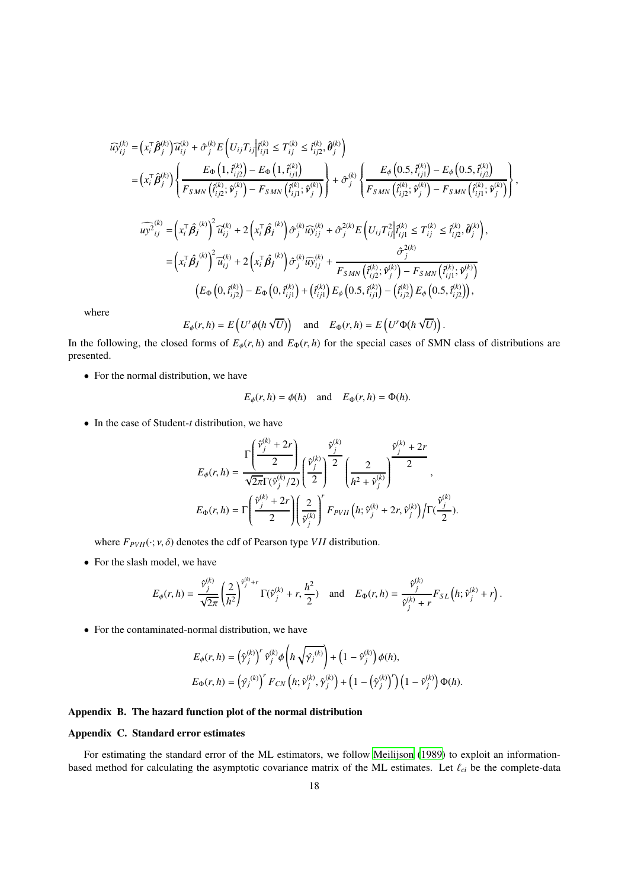$$
\begin{split}\n\widehat{u_{j}}_{ij}^{(k)} &= \left(x_i^{\top} \hat{\beta}_j^{(k)}\right) \widehat{u}_{ij}^{(k)} + \hat{\sigma}_j^{(k)} E\left(U_{ij} T_{ij} \middle| \widehat{t}_{ij1}^{(k)} \leq T_{ij}^{(k)} \leq \widehat{t}_{ij2}^{(k)}, \widehat{\theta}_j^{(k)}\right) \\
&= \left(x_i^{\top} \hat{\beta}_j^{(k)}\right) \left\{ \frac{E_{\Phi}\left(1, \widehat{t}_{ij2}^{(k)}\right) - E_{\Phi}\left(1, \widehat{t}_{ij1}^{(k)}\right)}{F_{SMN}\left(\widehat{t}_{ij2}^{(k)}; \widehat{\nu}_j^{(k)}\right) - F_{SMN}\left(\widehat{t}_{ij1}^{(k)}; \widehat{\nu}_j^{(k)}\right)}\right\} + \hat{\sigma}_j^{(k)} \left\{ \frac{E_{\phi}\left(0.5, \widehat{t}_{ij1}^{(k)}\right) - E_{\phi}\left(0.5, \widehat{t}_{ij2}^{(k)}\right)}{F_{SMN}\left(\widehat{t}_{ij2}^{(k)}; \widehat{\nu}_j^{(k)}\right) - F_{SMN}\left(\widehat{t}_{ij1}^{(k)}; \widehat{\nu}_j^{(k)}\right)}\right\}, \\
\widehat{u_{j2}}_{ij}^{(k)} &= \left(x_i^{\top} \hat{\beta}_j^{(k)}\right)^2 \widehat{u}_{ij}^{(k)} + 2\left(x_i^{\top} \hat{\beta}_j^{(k)}\right) \hat{\sigma}_j^{(k)} \widehat{u_{jij}^{(k)}} + \hat{\sigma}_j^{2(k)} E\left(U_{ij} T_{ij}^2 \middle| \widehat{t}_{ij1}^{(k)} \leq T_{ij}^{(k)} \leq \widehat{t}_{ij2}^{(k)}, \widehat{\theta}_j^{(k)}\right), \\
&= \left(x_i^{\top} \hat{\beta}_j^{(k)}\right)^2 \widehat{u}_{ij}^{(k)} + 2\left(x_i^{\top} \hat{\beta}_j^{(k)}\right) \hat{\sigma}_j^{(k)} \widehat{u_{jij}^{(k)}} + \frac{\hat{\sigma}_j^{2(k)}}{F_{SMN}\left(\widehat{t}_{ij2}^{(k)}; \widehat{\nu}_j^{(k)}\right) - F_{
$$

where

$$
E_{\phi}(r, h) = E\left(U^r \phi(h \sqrt{U})\right)
$$
 and  $E_{\Phi}(r, h) = E\left(U^r \Phi(h \sqrt{U})\right)$ .

In the following, the closed forms of  $E_{\phi}(r, h)$  and  $E_{\phi}(r, h)$  for the special cases of SMN class of distributions are presented.

• For the normal distribution, we have

$$
E_{\phi}(r, h) = \phi(h)
$$
 and  $E_{\Phi}(r, h) = \Phi(h)$ .

• In the case of Student-*t* distribution, we have

$$
E_{\phi}(r,h) = \frac{\Gamma\left(\frac{\hat{v}_j^{(k)} + 2r}{2}\right)}{\sqrt{2\pi}\Gamma(\hat{v}_j^{(k)}/2)} \left(\frac{\hat{v}_j^{(k)}}{2}\right)^2 \left(\frac{2}{h^2 + \hat{v}_j^{(k)}}\right)^{\frac{\hat{v}_j^{(k)} + 2r}{2}},
$$
  

$$
E_{\Phi}(r,h) = \Gamma\left(\frac{\hat{v}_j^{(k)} + 2r}{2}\right) \left(\frac{2}{\hat{v}_j^{(k)}}\right)^r F_{PVII}\left(h; \hat{v}_j^{(k)} + 2r, \hat{v}_j^{(k)}\right) / \Gamma(\frac{\hat{v}_j^{(k)}}{2}).
$$

where  $F_{PVII}(\cdot; v, \delta)$  denotes the cdf of Pearson type *VII* distribution.

• For the slash model, we have

$$
E_{\phi}(r,h) = \frac{\hat{v}_{j}^{(k)}}{\sqrt{2\pi}} \left(\frac{2}{h^{2}}\right)^{\hat{v}_{j}^{(k)}+r} \Gamma(\hat{v}_{j}^{(k)}+r, \frac{h^{2}}{2}) \text{ and } E_{\Phi}(r,h) = \frac{\hat{v}_{j}^{(k)}}{\hat{v}_{j}^{(k)}+r} F_{SL}\left(h; \hat{v}_{j}^{(k)}+r\right).
$$

• For the contaminated-normal distribution, we have

$$
E_{\phi}(r,h) = (\hat{\gamma}_j^{(k)})^r \hat{\nu}_j^{(k)} \phi\left(h \sqrt{\hat{\gamma}_j^{(k)}}\right) + \left(1 - \hat{\nu}_j^{(k)}\right) \phi(h),
$$
  
\n
$$
E_{\Phi}(r,h) = (\hat{\gamma}_j^{(k)})^r F_{CN}\left(h; \hat{\nu}_j^{(k)}, \hat{\gamma}_j^{(k)}\right) + \left(1 - (\hat{\gamma}_j^{(k)})^r\right) \left(1 - \hat{\nu}_j^{(k)}\right) \Phi(h).
$$

 $\overline{ }$ 

# <span id="page-17-0"></span>Appendix B. The hazard function plot of the normal distribution

# <span id="page-17-1"></span>Appendix C. Standard error estimates

For estimating the standard error of the ML estimators, we follow [Meilijson \(1989\)](#page-19-39) to exploit an informationbased method for calculating the asymptotic covariance matrix of the ML estimates. Let  $\ell_{ci}$  be the complete-data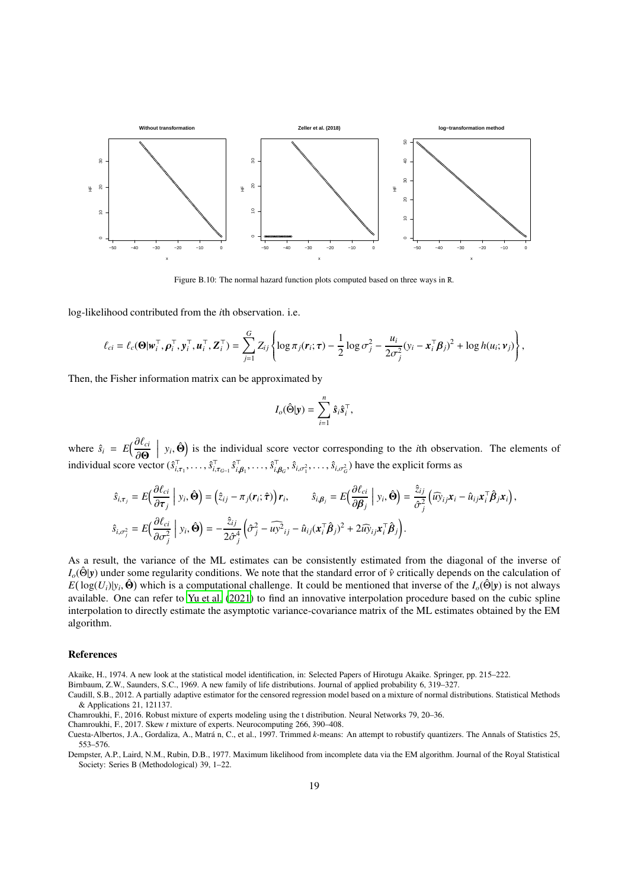

<span id="page-18-5"></span>Figure B.10: The normal hazard function plots computed based on three ways in R.

log-likelihood contributed from the *i*th observation. i.e.

$$
\ell_{ci} = \ell_c(\mathbf{\Theta}|\mathbf{w}_i^{\top}, \boldsymbol{\rho}_i^{\top}, \mathbf{y}_i^{\top}, \mathbf{u}_i^{\top}, \mathbf{Z}_i^{\top}) = \sum_{j=1}^G Z_{ij} \left\{ \log \pi_j(\mathbf{r}_i; \boldsymbol{\tau}) - \frac{1}{2} \log \sigma_j^2 - \frac{u_i}{2\sigma_j^2} (y_i - \mathbf{x}_i^{\top} \boldsymbol{\beta}_j)^2 + \log h(u_i; \boldsymbol{\nu}_j) \right\},
$$

Then, the Fisher information matrix can be approximated by

$$
I_o(\hat{\Theta}|\mathbf{y}) = \sum_{i=1}^n \hat{s}_i \hat{s}_i^{\top},
$$

where  $\hat{s}_i = E\left(\frac{\partial \ell_{ci}}{\partial \Omega}\right)$ ∂Θ  $y_i$ ,  $\hat{\Theta}$ ) is the individual score vector corresponding to the *i*th observation. The elements of individual score vector  $(\hat{s}_{i,\tau_1}^\top,\ldots,\hat{s}_{i,\tau_{G-1}}^\top \hat{s}_{i,\beta_1}^\top,\ldots,\hat{s}_{i,\beta_G}^\top,\hat{s}_{i,\sigma_1^2},\ldots,\hat{s}_{i,\sigma_G^2})$  have the explicit forms as

$$
\hat{s}_{i,\tau_j} = E\Big(\frac{\partial \ell_{ci}}{\partial \tau_j}\Big| y_i, \hat{\Theta}\Big) = \Big(\hat{z}_{ij} - \pi_j(r_i; \hat{\tau})\Big) r_i, \qquad \hat{s}_{i,\beta_j} = E\Big(\frac{\partial \ell_{ci}}{\partial \beta_j}\Big| y_i, \hat{\Theta}\Big) = \frac{\hat{z}_{ij}}{\hat{\sigma}_j^2} \Big(\widehat{u} \hat{y}_{ij} x_i - \hat{u}_{ij} x_i^\top \hat{\beta}_j x_i\Big),
$$
  

$$
\hat{s}_{i,\sigma_j^2} = E\Big(\frac{\partial \ell_{ci}}{\partial \sigma_j^2}\Big| y_i, \hat{\Theta}\Big) = -\frac{\hat{z}_{ij}}{2\hat{\sigma}_j^4} \Big(\hat{\sigma}_j^2 - \widehat{u} y_i^2\Big) r_i - \hat{u}_{ij} (x_i^\top \hat{\beta}_j)^2 + 2 \widehat{u} y_{ij} x_i^\top \hat{\beta}_j\Big).
$$

As a result, the variance of the ML estimates can be consistently estimated from the diagonal of the inverse of  $I_o(\hat{\Theta}|y)$  under some regularity conditions. We note that the standard error of  $\hat{v}$  critically depends on the calculation of  $E(\log(U_i)|y_i, \hat{\Theta})$  which is a computational challenge. It could be mentioned that inverse of the *I<sub>o</sub>*(Θ $|y$ ) is not always available. One can refer to [Yu et al. \(2021](#page-19-40)) to find an innovative interpolation procedure based on the cubic spline interpolation to directly estimate the asymptotic variance-covariance matrix of the ML estimates obtained by the EM algorithm.

#### References

- <span id="page-18-4"></span>Akaike, H., 1974. A new look at the statistical model identification, in: Selected Papers of Hirotugu Akaike. Springer, pp. 215–222.
- <span id="page-18-6"></span>Birnbaum, Z.W., Saunders, S.C., 1969. A new family of life distributions. Journal of applied probability 6, 319–327.

- <span id="page-18-1"></span>Chamroukhi, F., 2016. Robust mixture of experts modeling using the t distribution. Neural Networks 79, 20–36.
- <span id="page-18-2"></span>Chamroukhi, F., 2017. Skew *t* mixture of experts. Neurocomputing 266, 390–408.

<span id="page-18-7"></span>Caudill, S.B., 2012. A partially adaptive estimator for the censored regression model based on a mixture of normal distributions. Statistical Methods & Applications 21, 121137.

<span id="page-18-3"></span>Cuesta-Albertos, J.A., Gordaliza, A., Matrá n, C., et al., 1997. Trimmed *k*-means: An attempt to robustify quantizers. The Annals of Statistics 25, 553–576.

<span id="page-18-0"></span>Dempster, A.P., Laird, N.M., Rubin, D.B., 1977. Maximum likelihood from incomplete data via the EM algorithm. Journal of the Royal Statistical Society: Series B (Methodological) 39, 1–22.